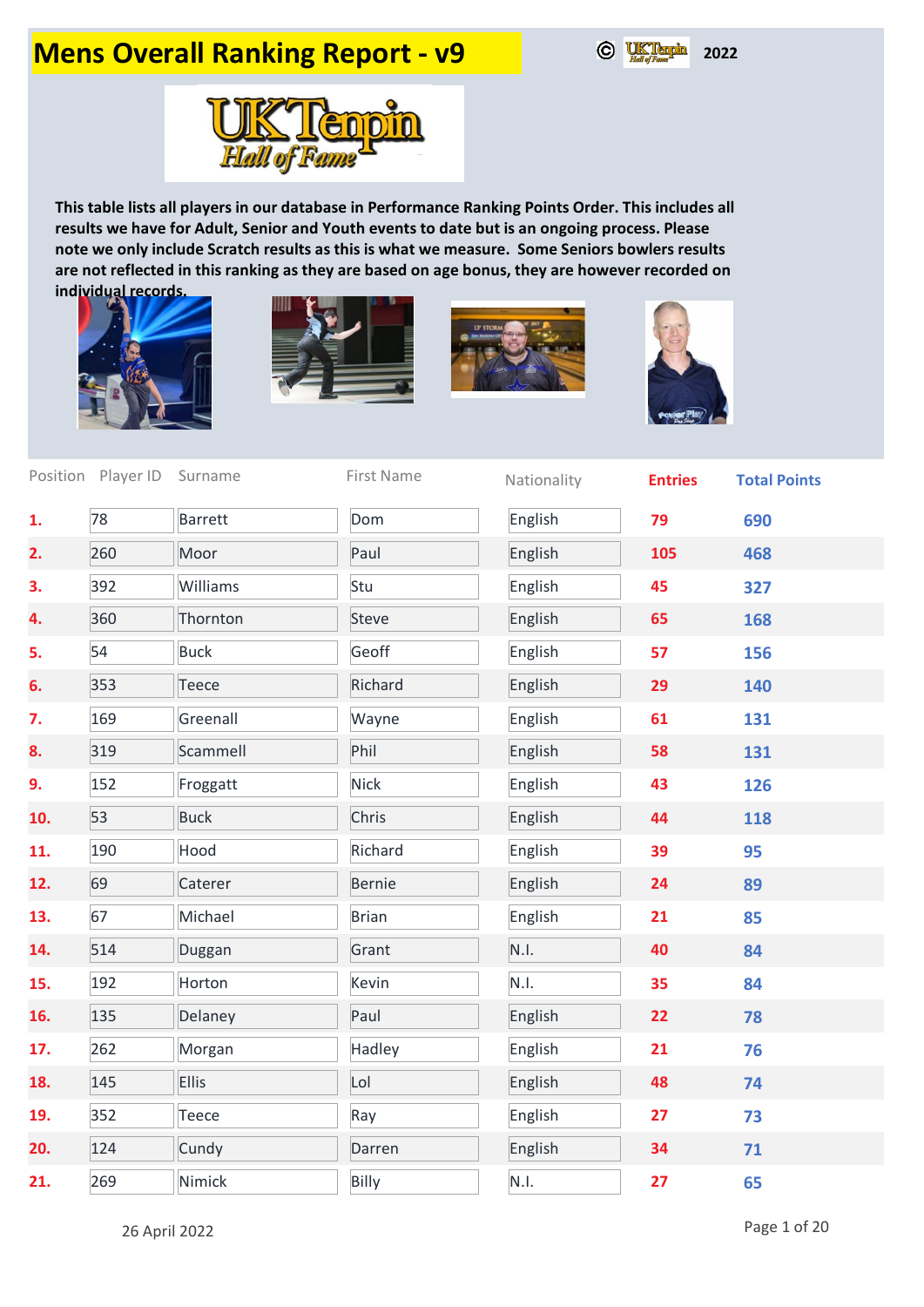## **Mens Overall Ranking Report - v9**





**This table lists all players in our database in Performance Ranking Points Order. This includes all results we have for Adult, Senior and Youth events to date but is an ongoing process. Please note we only include Scratch results as this is what we measure. Some Seniors bowlers results are not reflected in this ranking as they are based on age bonus, they are however recorded on individual records.**









|     | Position Player ID Surname |                | First Name    | Nationality | <b>Entries</b> | <b>Total Points</b> |
|-----|----------------------------|----------------|---------------|-------------|----------------|---------------------|
| 1.  | 78                         | <b>Barrett</b> | Dom           | English     | 79             | 690                 |
| 2.  | 260                        | Moor           | Paul          | English     | 105            | 468                 |
| 3.  | 392                        | Williams       | Stu           | English     | 45             | 327                 |
| 4.  | 360                        | Thornton       | Steve         | English     | 65             | 168                 |
| 5.  | 54                         | <b>Buck</b>    | Geoff         | English     | 57             | 156                 |
| 6.  | 353                        | Teece          | Richard       | English     | 29             | 140                 |
| 7.  | 169                        | Greenall       | Wayne         | English     | 61             | 131                 |
| 8.  | 319                        | Scammell       | Phil          | English     | 58             | 131                 |
| 9.  | 152                        | Froggatt       | <b>Nick</b>   | English     | 43             | 126                 |
| 10. | 53                         | <b>Buck</b>    | Chris         | English     | 44             | 118                 |
| 11. | 190                        | Hood           | Richard       | English     | 39             | 95                  |
| 12. | 69                         | Caterer        | <b>Bernie</b> | English     | 24             | 89                  |
| 13. | 67                         | Michael        | <b>Brian</b>  | English     | 21             | 85                  |
| 14. | 514                        | Duggan         | Grant         | N.I.        | 40             | 84                  |
| 15. | 192                        | Horton         | Kevin         | N.I.        | 35             | 84                  |
| 16. | 135                        | Delaney        | Paul          | English     | 22             | 78                  |
| 17. | 262                        | Morgan         | Hadley        | English     | 21             | 76                  |
| 18. | 145                        | <b>Ellis</b>   | Lol           | English     | 48             | 74                  |
| 19. | 352                        | Teece          | Ray           | English     | 27             | 73                  |
| 20. | 124                        | Cundy          | Darren        | English     | 34             | 71                  |
| 21. | 269                        | Nimick         | Billy         | N.I.        | 27             | 65                  |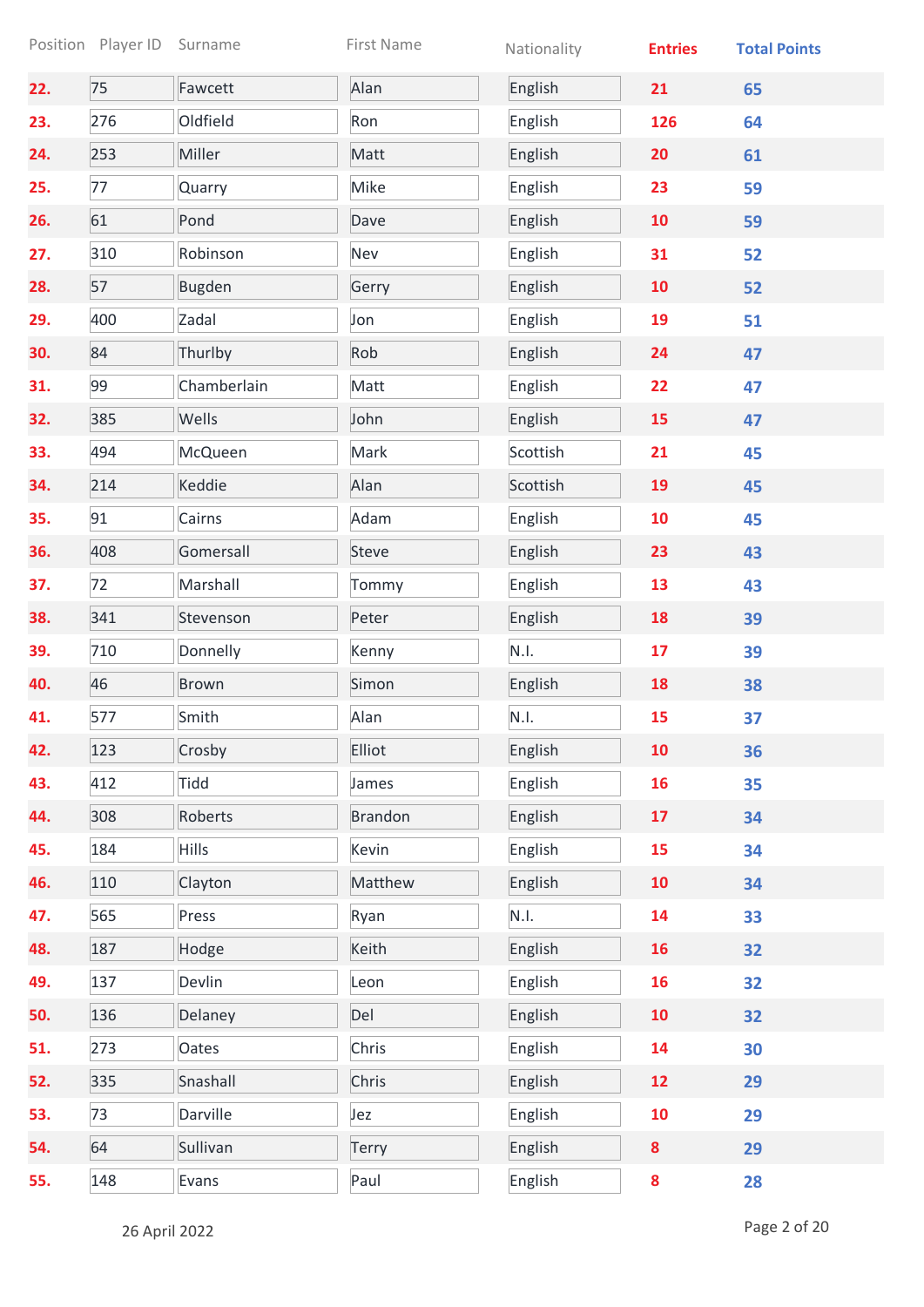|     | Position Player ID | Surname       | First Name     | Nationality | <b>Entries</b> | <b>Total Points</b> |
|-----|--------------------|---------------|----------------|-------------|----------------|---------------------|
| 22. | 75                 | Fawcett       | Alan           | English     | 21             | 65                  |
| 23. | 276                | Oldfield      | Ron            | English     | 126            | 64                  |
| 24. | 253                | Miller        | Matt           | English     | 20             | 61                  |
| 25. | 77                 | Quarry        | Mike           | English     | 23             | 59                  |
| 26. | 61                 | Pond          | Dave           | English     | 10             | 59                  |
| 27. | 310                | Robinson      | Nev            | English     | 31             | 52                  |
| 28. | 57                 | <b>Bugden</b> | Gerry          | English     | 10             | 52                  |
| 29. | 400                | Zadal         | Jon            | English     | 19             | 51                  |
| 30. | 84                 | Thurlby       | Rob            | English     | 24             | 47                  |
| 31. | 99                 | Chamberlain   | Matt           | English     | 22             | 47                  |
| 32. | 385                | Wells         | John           | English     | 15             | 47                  |
| 33. | 494                | McQueen       | Mark           | Scottish    | 21             | 45                  |
| 34. | 214                | Keddie        | Alan           | Scottish    | 19             | 45                  |
| 35. | 91                 | Cairns        | Adam           | English     | 10             | 45                  |
| 36. | 408                | Gomersall     | Steve          | English     | 23             | 43                  |
| 37. | 72                 | Marshall      | Tommy          | English     | 13             | 43                  |
| 38. | 341                | Stevenson     | Peter          | English     | 18             | 39                  |
| 39. | 710                | Donnelly      | Kenny          | N.I.        | 17             | 39                  |
| 40. | 46                 | Brown         | Simon          | English     | 18             | 38                  |
| 41. | 577                | Smith         | Alan           | N.I.        | 15             | 37                  |
| 42. | 123                | Crosby        | Elliot         | English     | 10             | 36                  |
| 43. | 412                | Tidd          | James          | English     | 16             | 35                  |
| 44. | 308                | Roberts       | <b>Brandon</b> | English     | 17             | 34                  |
| 45. | 184                | <b>Hills</b>  | Kevin          | English     | 15             | 34                  |
| 46. | 110                | Clayton       | Matthew        | English     | 10             | 34                  |
| 47. | 565                | Press         | Ryan           | N.I.        | 14             | 33                  |
| 48. | 187                | Hodge         | Keith          | English     | 16             | 32                  |
| 49. | 137                | Devlin        | Leon           | English     | 16             | 32                  |
| 50. | 136                | Delaney       | Del            | English     | 10             | 32                  |
| 51. | 273                | Oates         | Chris          | English     | 14             | 30                  |
| 52. | 335                | Snashall      | Chris          | English     | 12             | 29                  |
| 53. | 73                 | Darville      | Jez            | English     | 10             | 29                  |
| 54. | 64                 | Sullivan      | Terry          | English     | 8              | 29                  |
| 55. | 148                | Evans         | Paul           | English     | 8              | 28                  |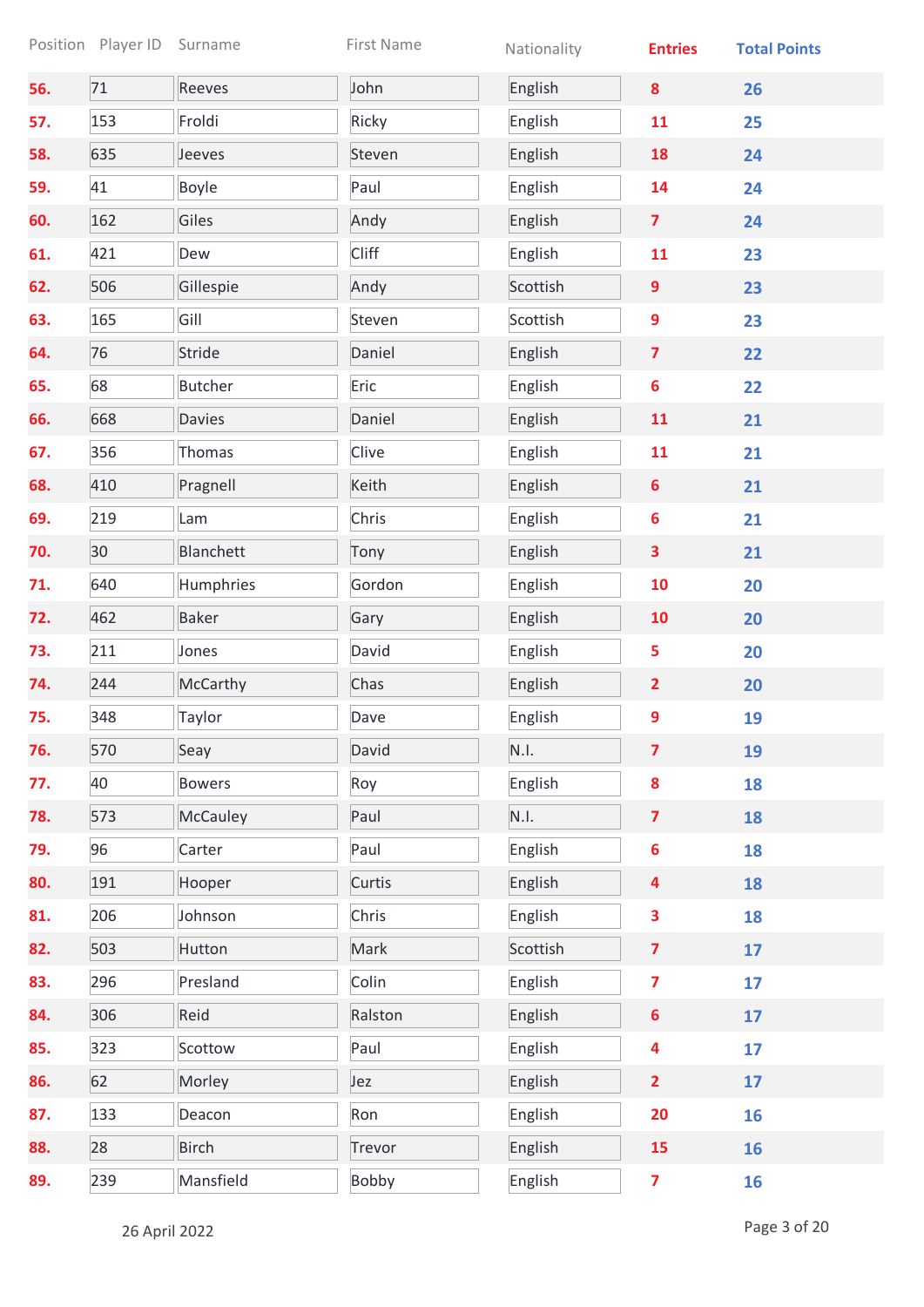|     | Position Player ID | Surname         | First Name   | Nationality | <b>Entries</b>          | <b>Total Points</b> |
|-----|--------------------|-----------------|--------------|-------------|-------------------------|---------------------|
| 56. | 71                 | Reeves          | John         | English     | $\boldsymbol{8}$        | 26                  |
| 57. | 153                | Froldi          | Ricky        | English     | 11                      | 25                  |
| 58. | 635                | Jeeves          | Steven       | English     | 18                      | 24                  |
| 59. | 41                 | <b>Boyle</b>    | Paul         | English     | 14                      | 24                  |
| 60. | 162                | Giles           | Andy         | English     | $\overline{\mathbf{z}}$ | 24                  |
| 61. | 421                | Dew             | <b>Cliff</b> | English     | 11                      | 23                  |
| 62. | 506                | Gillespie       | Andy         | Scottish    | $\overline{9}$          | 23                  |
| 63. | 165                | Gill            | Steven       | Scottish    | $\overline{9}$          | 23                  |
| 64. | 76                 | Stride          | Daniel       | English     | $\overline{\mathbf{z}}$ | 22                  |
| 65. | 68                 | <b>Butcher</b>  | Eric         | English     | 6                       | 22                  |
| 66. | 668                | <b>Davies</b>   | Daniel       | English     | 11                      | 21                  |
| 67. | 356                | Thomas          | Clive        | English     | 11                      | 21                  |
| 68. | 410                | Pragnell        | Keith        | English     | 6                       | 21                  |
| 69. | 219                | Lam             | Chris        | English     | 6                       | 21                  |
| 70. | 30                 | Blanchett       | Tony         | English     | $\overline{\mathbf{3}}$ | 21                  |
| 71. | 640                | Humphries       | Gordon       | English     | 10                      | 20                  |
| 72. | 462                | <b>Baker</b>    | Gary         | English     | 10                      | 20                  |
| 73. | 211                | Jones           | David        | English     | 5                       | 20                  |
| 74. | 244                | McCarthy        | Chas         | English     | $\overline{2}$          | 20                  |
| 75. | 348                | Taylor          | Dave         | English     | 9                       | 19                  |
| 76. | 570                | Seay            | David        | N.I.        | $\overline{\mathbf{z}}$ | 19                  |
| 77. | 40                 | <b>Bowers</b>   | Roy          | English     | 8                       | 18                  |
| 78. | 573                | <b>McCauley</b> | Paul         | N.I.        | $\overline{7}$          | 18                  |
| 79. | 96                 | Carter          | Paul         | English     | 6                       | 18                  |
| 80. | 191                | Hooper          | Curtis       | English     | $\overline{4}$          | 18                  |
| 81. | 206                | Johnson         | Chris        | English     | 3                       | 18                  |
| 82. | 503                | Hutton          | Mark         | Scottish    | $\overline{7}$          | 17                  |
| 83. | 296                | Presland        | Colin        | English     | $\overline{\mathbf{z}}$ | 17                  |
| 84. | 306                | Reid            | Ralston      | English     | $\boldsymbol{6}$        | 17                  |
| 85. | 323                | Scottow         | Paul         | English     | 4                       | 17                  |
| 86. | 62                 | Morley          | Jez          | English     | $\overline{2}$          | 17                  |
| 87. | 133                | Deacon          | Ron          | English     | 20                      | 16                  |
| 88. | 28                 | <b>Birch</b>    | Trevor       | English     | 15                      | 16                  |
| 89. | 239                | Mansfield       | Bobby        | English     | $\overline{\mathbf{z}}$ | 16                  |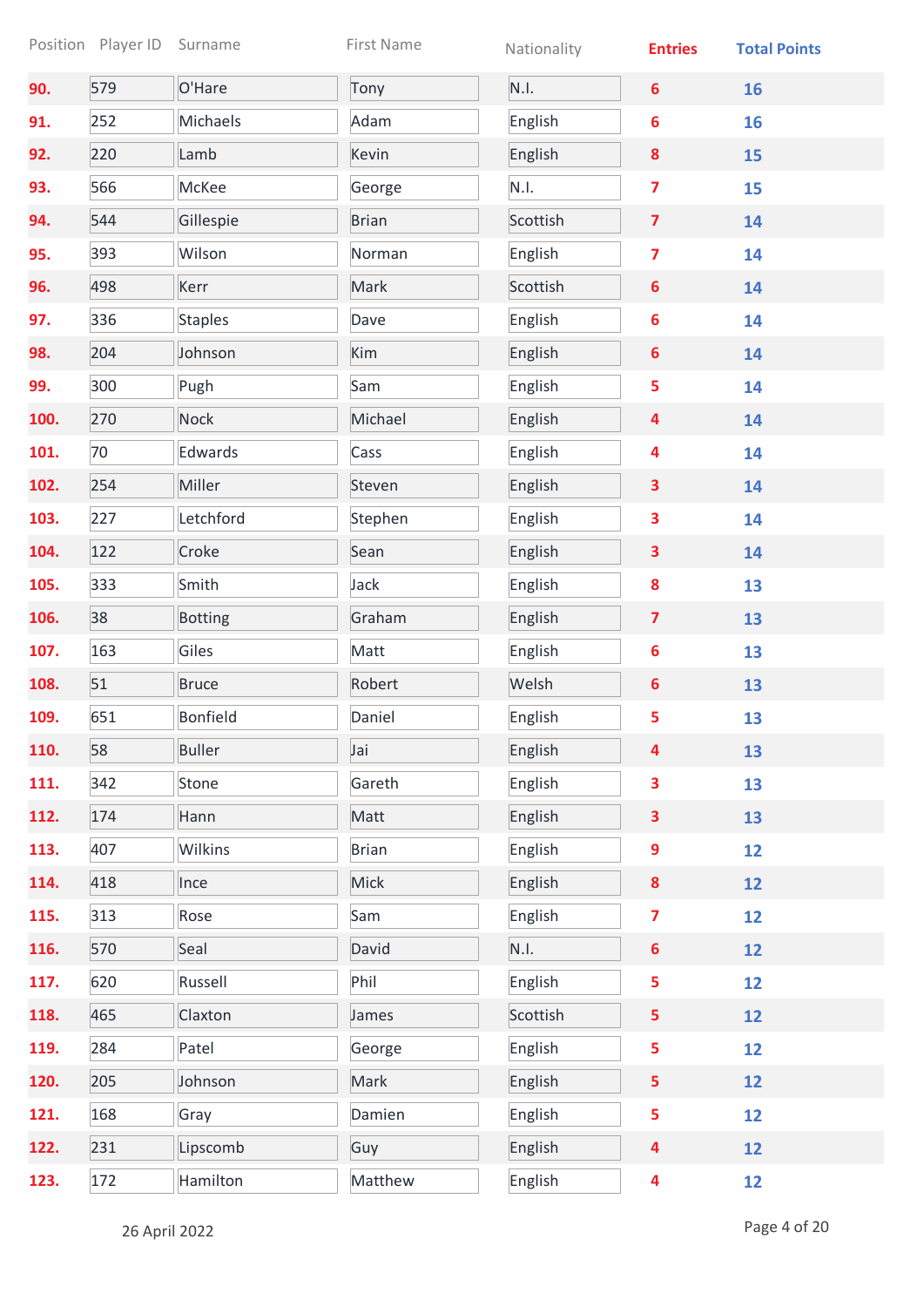|      | Position Player ID Surname |                 | First Name   | Nationality | <b>Entries</b>          | <b>Total Points</b> |
|------|----------------------------|-----------------|--------------|-------------|-------------------------|---------------------|
| 90.  | 579                        | O'Hare          | Tony         | N.I.        | 6                       | 16                  |
| 91.  | 252                        | Michaels        | Adam         | English     | 6                       | 16                  |
| 92.  | 220                        | Lamb            | Kevin        | English     | $\boldsymbol{8}$        | 15                  |
| 93.  | 566                        | McKee           | George       | N.I.        | 7                       | 15                  |
| 94.  | 544                        | Gillespie       | <b>Brian</b> | Scottish    | $\overline{\mathbf{z}}$ | 14                  |
| 95.  | 393                        | Wilson          | Norman       | English     | $\overline{\mathbf{z}}$ | 14                  |
| 96.  | 498                        | Kerr            | Mark         | Scottish    | 6                       | 14                  |
| 97.  | 336                        | <b>Staples</b>  | Dave         | English     | 6                       | 14                  |
| 98.  | 204                        | Johnson         | Kim          | English     | $6\phantom{1}$          | 14                  |
| 99.  | 300                        | Pugh            | Sam          | English     | 5                       | 14                  |
| 100. | 270                        | <b>Nock</b>     | Michael      | English     | 4                       | 14                  |
| 101. | 70                         | Edwards         | Cass         | English     | 4                       | 14                  |
| 102. | 254                        | Miller          | Steven       | English     | $\overline{\mathbf{3}}$ | 14                  |
| 103. | 227                        | Letchford       | Stephen      | English     | 3                       | 14                  |
| 104. | 122                        | Croke           | Sean         | English     | 3                       | 14                  |
| 105. | 333                        | Smith           | Jack         | English     | 8                       | 13                  |
| 106. | 38                         | <b>Botting</b>  | Graham       | English     | $\overline{\mathbf{z}}$ | 13                  |
| 107. | 163                        | Giles           | Matt         | English     | 6                       | 13                  |
| 108. | 51                         | <b>Bruce</b>    | Robert       | Welsh       | 6                       | 13                  |
| 109. | 651                        | <b>Bonfield</b> | Daniel       | English     | 5                       | 13                  |
| 110. | 58                         | <b>Buller</b>   | Jai          | English     | 4                       | 13                  |
| 111. | 342                        | Stone           | Gareth       | English     | 3                       | 13                  |
| 112. | 174                        | Hann            | Matt         | English     | $\overline{\mathbf{3}}$ | 13                  |
| 113. | 407                        | Wilkins         | <b>Brian</b> | English     | 9                       | 12                  |
| 114. | 418                        | Ince            | <b>Mick</b>  | English     | $\boldsymbol{8}$        | 12                  |
| 115. | 313                        | Rose            | Sam          | English     | $\overline{7}$          | 12                  |
| 116. | 570                        | Seal            | David        | N.I.        | $6\phantom{1}$          | 12                  |
| 117. | 620                        | Russell         | Phil         | English     | 5                       | 12                  |
| 118. | 465                        | Claxton         | James        | Scottish    | 5                       | 12                  |
| 119. | 284                        | Patel           | George       | English     | 5                       | 12                  |
| 120. | 205                        | Johnson         | Mark         | English     | 5                       | 12                  |
| 121. | 168                        | Gray            | Damien       | English     | 5                       | 12                  |
| 122. | 231                        | Lipscomb        | Guy          | English     | 4                       | 12                  |
| 123. | 172                        | Hamilton        | Matthew      | English     | 4                       | 12                  |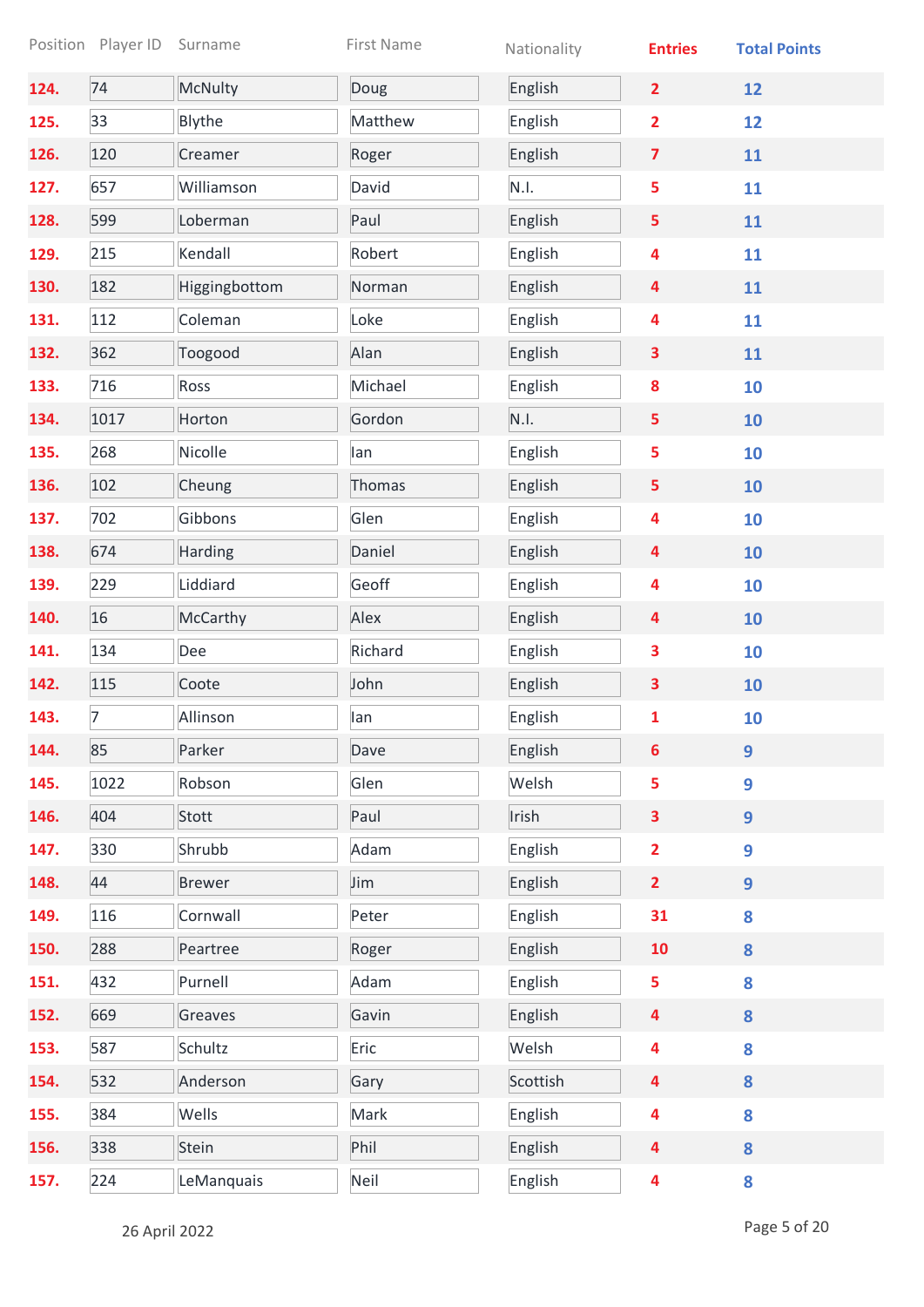Position Player ID Surname **First Name** Nationality **Entries Total Points 124.** 74 McNulty Doug English **2 12 125.** 33 Blythe Matthew English **2 12 126.** 120 Creamer Roger Finglish **7 11 127.** 657 Williamson David N.I. **5 11 128.** 599 Loberman Paul English **5 11 129.** 215 Kendall Robert English **4 11 130.** 182 Higgingbottom Norman English **4 11 131.** 112 Coleman Loke English **4 11 132.** 362 Toogood Alan English **3 11 133.** 716 Ross Michael English **8 10 134.** 1017 Horton Gordon N.I. **5 10 135.** 268 Nicolle Ian English **5 10 136.** 102 Cheung Thomas English **5 10 137.** 702 Gibbons Glen English **4 10 138.** 674 Harding Daniel English **4 10 139.** 229 Liddiard Geoff English **4 10 140.** 16 McCarthy Alex English **4 10 141.** 134 |Dee | Richard | English | 3 10 **142.** 115 Coote John English **3 10 143.** 7 Allinson | Ian | English | **1 10 144.** 85 Parker Dave English **6 9 145.** 1022 Robson Glen Welsh **5 9 146.** 404 Stott Paul Irish **3 9 147.** 330 Shrubb Adam English **2 9 148.** 44 Brewer Jim English **2 9 149.** 116 Cornwall Peter English **31 8 150.** 288 Peartree Roger English **10 8 151.** 432 Purnell Adam English **5 8 152.** 669 Greaves | Gavin | English | **4** 8 **153.** 587 Schultz Eric Welsh **4 8 154.** 532 Anderson Gary Scottish **4 8 155.** 384 Wells Mark English **4 8 156.** 338 Stein Phil English **4 8 157.** 224 LeManquais Neil English **4 8**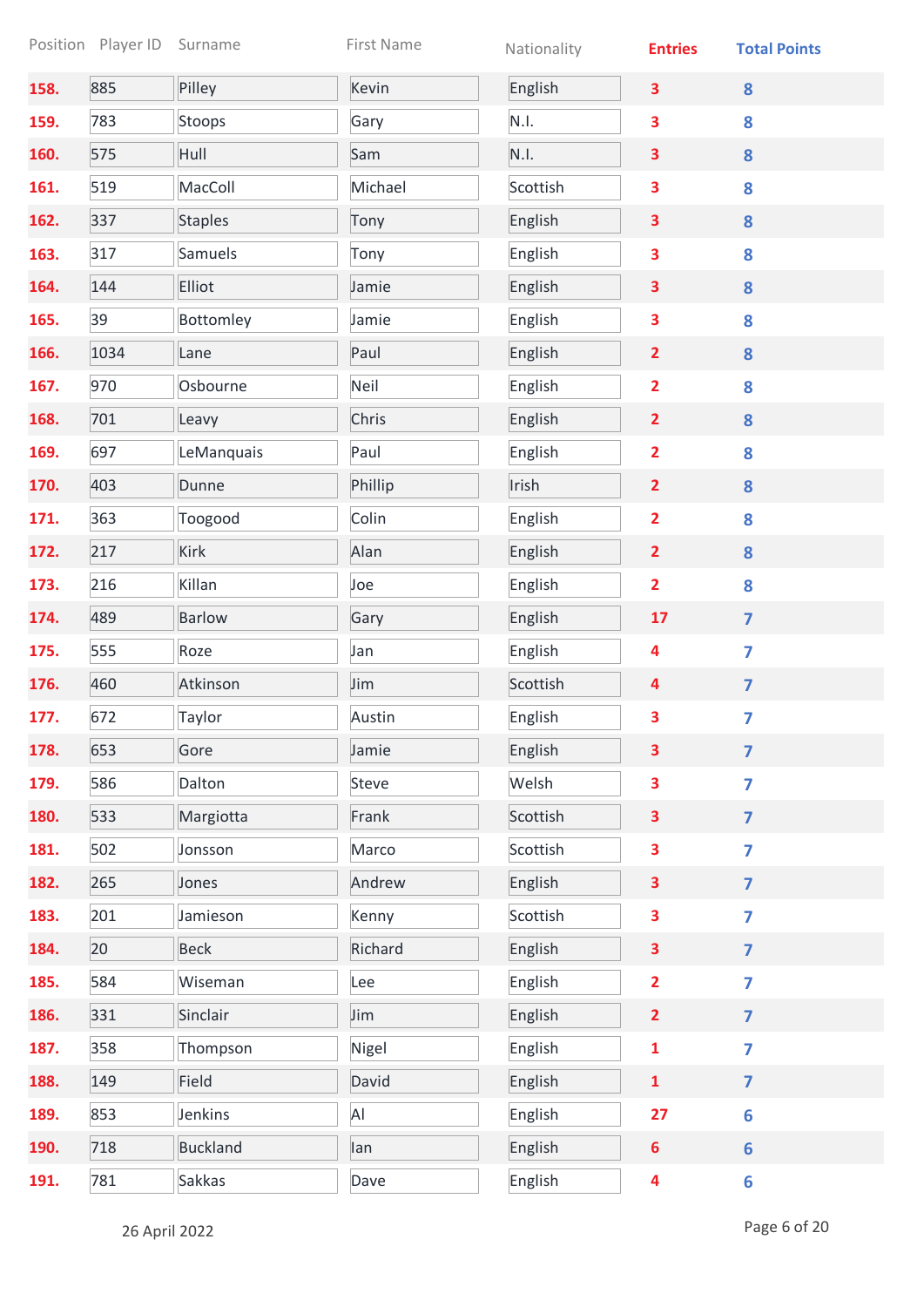|      | Position Player ID | Surname         | First Name | Nationality | <b>Entries</b>          | <b>Total Points</b>     |
|------|--------------------|-----------------|------------|-------------|-------------------------|-------------------------|
| 158. | 885                | Pilley          | Kevin      | English     | 3                       | 8                       |
| 159. | 783                | Stoops          | Gary       | N.I.        | 3                       | 8                       |
| 160. | 575                | Hull            | Sam        | N.I.        | 3                       | 8                       |
| 161. | 519                | MacColl         | Michael    | Scottish    | 3                       | 8                       |
| 162. | 337                | <b>Staples</b>  | Tony       | English     | 3                       | 8                       |
| 163. | 317                | Samuels         | Tony       | English     | 3                       | 8                       |
| 164. | 144                | Elliot          | Jamie      | English     | 3                       | 8                       |
| 165. | 39                 | Bottomley       | Jamie      | English     | 3                       | 8                       |
| 166. | 1034               | Lane            | Paul       | English     | $\overline{2}$          | 8                       |
| 167. | 970                | Osbourne        | Neil       | English     | 2                       | 8                       |
| 168. | 701                | Leavy           | Chris      | English     | $\overline{2}$          | 8                       |
| 169. | 697                | LeManquais      | Paul       | English     | 2                       | 8                       |
| 170. | 403                | Dunne           | Phillip    | Irish       | $\overline{2}$          | 8                       |
| 171. | 363                | Toogood         | Colin      | English     | $\overline{2}$          | 8                       |
| 172. | 217                | <b>Kirk</b>     | Alan       | English     | $\overline{2}$          | 8                       |
| 173. | 216                | Killan          | Joe        | English     | 2                       | 8                       |
| 174. | 489                | <b>Barlow</b>   | Gary       | English     | 17                      | $\overline{7}$          |
| 175. | 555                | Roze            | Jan        | English     | 4                       | $\overline{\mathbf{z}}$ |
| 176. | 460                | Atkinson        | Jim        | Scottish    | 4                       | $\overline{7}$          |
| 177. | 672                | Taylor          | Austin     | English     | 3                       | $\overline{\mathbf{z}}$ |
| 178. | 653                | Gore            | Jamie      | English     | 3                       | $\overline{\mathbf{z}}$ |
| 179. | 586                | Dalton          | Steve      | Welsh       | 3                       | $\overline{7}$          |
| 180. | 533                | Margiotta       | Frank      | Scottish    | 3                       | $\overline{\mathbf{z}}$ |
| 181. | 502                | Jonsson         | Marco      | Scottish    | 3                       | $\overline{7}$          |
| 182. | 265                | Jones           | Andrew     | English     | 3                       | $\overline{7}$          |
| 183. | 201                | Jamieson        | Kenny      | Scottish    | 3                       | $\overline{7}$          |
| 184. | 20                 | <b>Beck</b>     | Richard    | English     | 3                       | $\overline{7}$          |
| 185. | 584                | Wiseman         | Lee        | English     | $\overline{\mathbf{2}}$ | $\overline{7}$          |
| 186. | 331                | Sinclair        | Jim        | English     | $\overline{2}$          | $\overline{7}$          |
| 187. | 358                | Thompson        | Nigel      | English     | $\mathbf{1}$            | $\overline{7}$          |
| 188. | 149                | Field           | David      | English     | $\mathbf{1}$            | $\overline{\mathbf{z}}$ |
| 189. | 853                | Jenkins         | AI         | English     | 27                      | 6                       |
| 190. | 718                | <b>Buckland</b> | lan        | English     | $6\phantom{a}$          | $6\phantom{a}$          |
| 191. | 781                | <b>Sakkas</b>   | Dave       | English     | 4                       | $6\phantom{a}$          |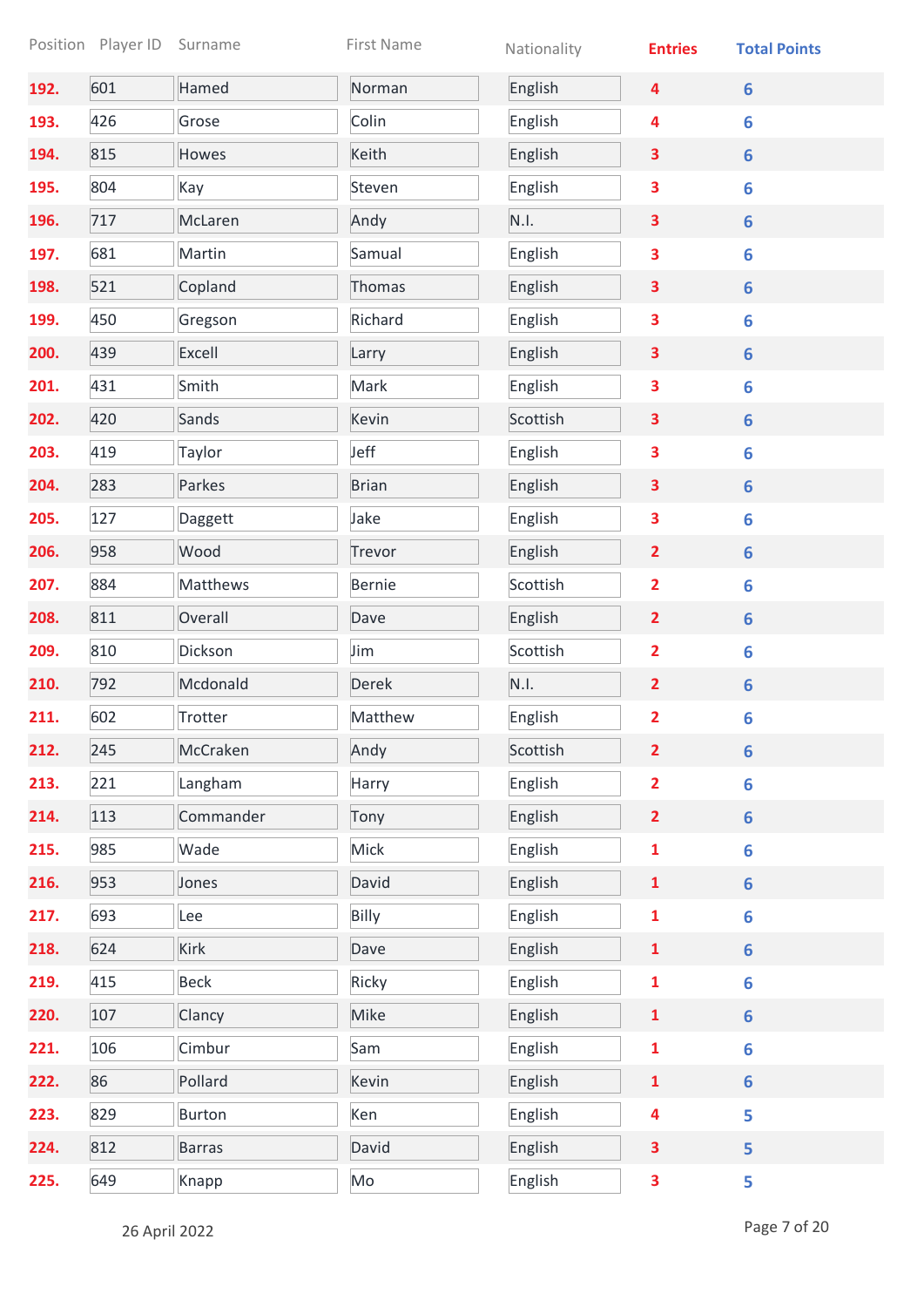|      | Position Player ID Surname |               | First Name    | Nationality | <b>Entries</b> | <b>Total Points</b> |
|------|----------------------------|---------------|---------------|-------------|----------------|---------------------|
| 192. | 601                        | Hamed         | Norman        | English     | 4              | $6\phantom{a}$      |
| 193. | 426                        | Grose         | Colin         | English     | 4              | 6                   |
| 194. | 815                        | Howes         | Keith         | English     | 3              | $6\phantom{a}$      |
| 195. | 804                        | Kay           | Steven        | English     | 3              | 6                   |
| 196. | 717                        | McLaren       | Andy          | N.I.        | 3              | $6\phantom{a}$      |
| 197. | 681                        | Martin        | Samual        | English     | 3              | 6                   |
| 198. | 521                        | Copland       | Thomas        | English     | 3              | $6\phantom{a}$      |
| 199. | 450                        | Gregson       | Richard       | English     | 3              | 6                   |
| 200. | 439                        | Excell        | Larry         | English     | 3              | $6\phantom{a}$      |
| 201. | 431                        | Smith         | Mark          | English     | 3              | 6                   |
| 202. | 420                        | Sands         | Kevin         | Scottish    | 3              | $6\phantom{a}$      |
| 203. | 419                        | Taylor        | Jeff          | English     | 3              | 6                   |
| 204. | 283                        | Parkes        | <b>Brian</b>  | English     | 3              | $6\phantom{a}$      |
| 205. | 127                        | Daggett       | Jake          | English     | 3              | 6                   |
| 206. | 958                        | Wood          | Trevor        | English     | $\overline{2}$ | $6\phantom{a}$      |
| 207. | 884                        | Matthews      | <b>Bernie</b> | Scottish    | 2              | 6                   |
| 208. | 811                        | Overall       | Dave          | English     | $\overline{2}$ | $6\phantom{a}$      |
| 209. | 810                        | Dickson       | Jim           | Scottish    | 2              | 6                   |
| 210. | 792                        | Mcdonald      | Derek         | N.I.        | $\overline{2}$ | $6\phantom{a}$      |
| 211. | 602                        | Trotter       | Matthew       | English     | 2              | 6                   |
| 212. | 245                        | McCraken      | Andy          | Scottish    | $\overline{2}$ | $6\phantom{1}$      |
| 213. | 221                        | Langham       | Harry         | English     | $\overline{2}$ | 6                   |
| 214. | 113                        | Commander     | Tony          | English     | $\overline{2}$ | $6\phantom{a}$      |
| 215. | 985                        | Wade          | Mick          | English     | 1              | 6                   |
| 216. | 953                        | Jones         | David         | English     | $\mathbf{1}$   | $6\phantom{a}$      |
| 217. | 693                        | Lee           | Billy         | English     | $\mathbf{1}$   | 6                   |
| 218. | 624                        | <b>Kirk</b>   | Dave          | English     | $\mathbf{1}$   | $6\phantom{a}$      |
| 219. | 415                        | <b>Beck</b>   | Ricky         | English     | 1              | 6                   |
| 220. | 107                        | Clancy        | Mike          | English     | $\mathbf{1}$   | $6\phantom{a}$      |
| 221. | 106                        | Cimbur        | Sam           | English     | $\mathbf{1}$   | $6\overline{6}$     |
| 222. | 86                         | Pollard       | Kevin         | English     | $\mathbf{1}$   | 6                   |
| 223. | 829                        | <b>Burton</b> | Ken           | English     | 4              | 5                   |
| 224. | 812                        | <b>Barras</b> | David         | English     | 3              | 5                   |
| 225. | 649                        | Knapp         | Mo            | English     | 3              | 5                   |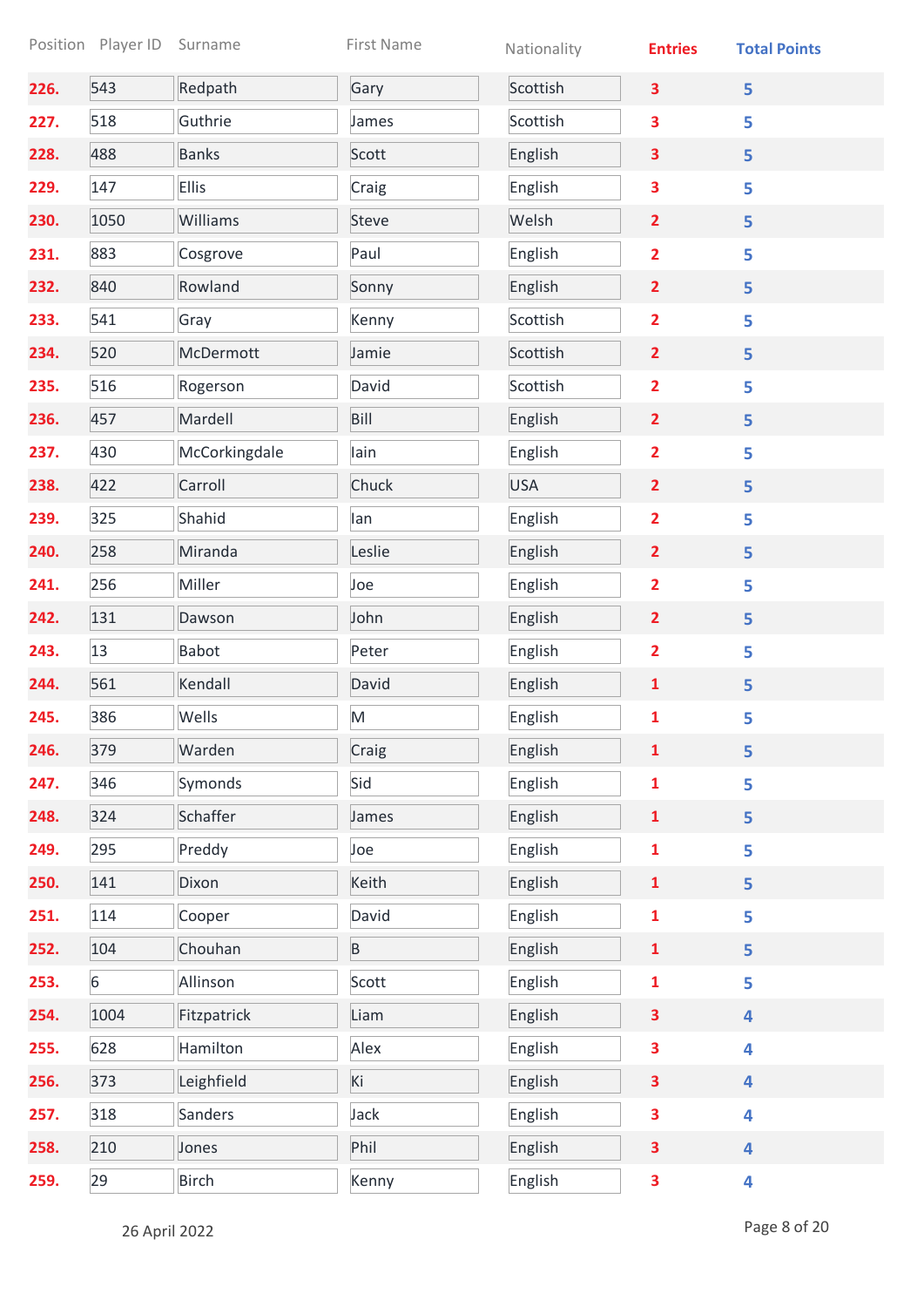Position Player ID Surname **First Name** Nationality **Entries Total Points 226.** 543 Redpath Gary Scottish **3 5 227.** 518 Guthrie James Scottish **3** 5 **228.** 488 Banks | Scott | English | 3 5 **229.** 147 Ellis Craig English **3 5 230.** 1050 Williams | Steve Melsh | 2 5 **231.** 883 Cosgrove Paul English **2 5 232.** 840 Rowland | Sonny | English | 2 5 **233.** 541 Gray Kenny Scottish **2 5 234.** 520 McDermott Jamie Scottish **2 5 235.** 516 Rogerson David Scottish **2 5 236.** 457 Mardell Bill English **2 5 237.** 430 McCorkingdale Iain English **2 5 238.** 422 Carroll Chuck USA **2 5 239.** 325 Shahid Ian English **2 5 240.** 258 Miranda Leslie English **2 5 241.** 256 Miller Joe English **2 5 242.** 131 Dawson John English **2 5 243.** 13 Babot Peter English **2 5 244.** 561 Kendall David English **1 5 245.** 386 Wells M English **1 5 246.** 379 Warden Craig English **1 5 247.** 346 Symonds Sid English **1 5 248.** 324 Schaffer James English **1 5 249.** 295 Preddy Joe English **1 5 250.** 141 Dixon Keith English **1 5 251.** 114 Cooper David English **1 5 252.** 104 Chouhan B English **1 5 253.** 6 Allinson Scott English **1 5 254.** 1004 Fitzpatrick Liam English **3 4 255.** 628 Hamilton Alex English **3 4 256.** 373 Leighfield Ki English **3 4 257.** 318 Sanders Jack English **3 4 258.** 210 Jones Phil English **3 4 259.** 29 Birch Kenny English **3 4**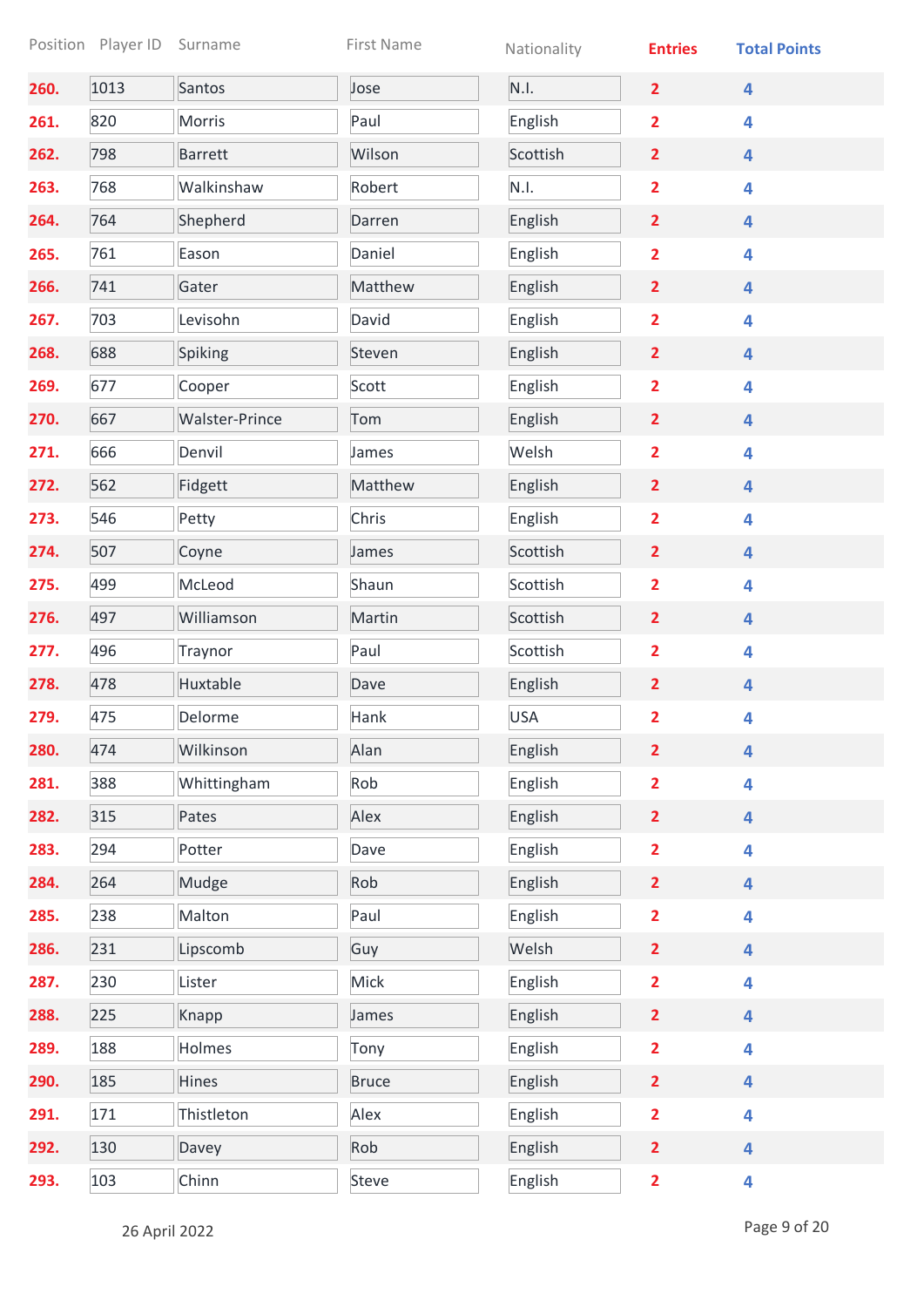|      | Position Player ID | Surname        | First Name   | Nationality | <b>Entries</b>          | <b>Total Points</b>     |
|------|--------------------|----------------|--------------|-------------|-------------------------|-------------------------|
| 260. | 1013               | Santos         | Jose         | N.I.        | $\overline{2}$          | 4                       |
| 261. | 820                | <b>Morris</b>  | Paul         | English     | $\overline{\mathbf{2}}$ | 4                       |
| 262. | 798                | <b>Barrett</b> | Wilson       | Scottish    | $\overline{2}$          | 4                       |
| 263. | 768                | Walkinshaw     | Robert       | N.I.        | $\overline{2}$          | 4                       |
| 264. | 764                | Shepherd       | Darren       | English     | $\overline{2}$          | 4                       |
| 265. | 761                | Eason          | Daniel       | English     | $\overline{\mathbf{2}}$ | 4                       |
| 266. | 741                | Gater          | Matthew      | English     | $\overline{2}$          | 4                       |
| 267. | 703                | Levisohn       | David        | English     | $\overline{\mathbf{2}}$ | 4                       |
| 268. | 688                | Spiking        | Steven       | English     | $\overline{2}$          | $\overline{\mathbf{4}}$ |
| 269. | 677                | Cooper         | Scott        | English     | $\overline{2}$          | 4                       |
| 270. | 667                | Walster-Prince | Tom          | English     | $\overline{2}$          | $\overline{\mathbf{4}}$ |
| 271. | 666                | Denvil         | James        | Welsh       | $\overline{\mathbf{2}}$ | 4                       |
| 272. | 562                | Fidgett        | Matthew      | English     | $\overline{2}$          | $\overline{\mathbf{4}}$ |
| 273. | 546                | Petty          | Chris        | English     | $\overline{\mathbf{2}}$ | 4                       |
| 274. | 507                | Coyne          | James        | Scottish    | $\overline{2}$          | 4                       |
| 275. | 499                | McLeod         | Shaun        | Scottish    | $\overline{\mathbf{2}}$ | 4                       |
| 276. | 497                | Williamson     | Martin       | Scottish    | $\overline{2}$          | $\overline{\mathbf{4}}$ |
| 277. | 496                | Traynor        | Paul         | Scottish    | $\overline{2}$          | 4                       |
| 278. | 478                | Huxtable       | Dave         | English     | $\overline{2}$          | $\overline{\mathbf{4}}$ |
| 279. | 475                | Delorme        | Hank         | <b>USA</b>  | 2                       | 4                       |
| 280. | 474                | Wilkinson      | Alan         | English     | $\overline{2}$          | $\overline{\mathbf{4}}$ |
| 281. | 388                | Whittingham    | Rob          | English     | $\overline{\mathbf{2}}$ | 4                       |
| 282. | 315                | Pates          | Alex         | English     | $\overline{2}$          | $\overline{\mathbf{4}}$ |
| 283. | 294                | Potter         | Dave         | English     | $\overline{\mathbf{2}}$ | $\overline{\mathbf{4}}$ |
| 284. | 264                | Mudge          | Rob          | English     | $\overline{2}$          | 4                       |
| 285. | 238                | Malton         | Paul         | English     | $\overline{\mathbf{2}}$ | 4                       |
| 286. | 231                | Lipscomb       | Guy          | Welsh       | $\overline{2}$          | $\overline{\mathbf{4}}$ |
| 287. | 230                | Lister         | Mick         | English     | $\overline{\mathbf{2}}$ | 4                       |
| 288. | 225                | Knapp          | James        | English     | $\overline{2}$          | $\overline{\mathbf{4}}$ |
| 289. | 188                | Holmes         | Tony         | English     | $\overline{\mathbf{2}}$ | 4                       |
| 290. | 185                | Hines          | <b>Bruce</b> | English     | $\overline{2}$          | 4                       |
| 291. | 171                | Thistleton     | Alex         | English     | $\overline{\mathbf{2}}$ | 4                       |
| 292. | 130                | Davey          | Rob          | English     | $\overline{2}$          | 4                       |
| 293. | 103                | Chinn          | Steve        | English     | $\overline{\mathbf{2}}$ | 4                       |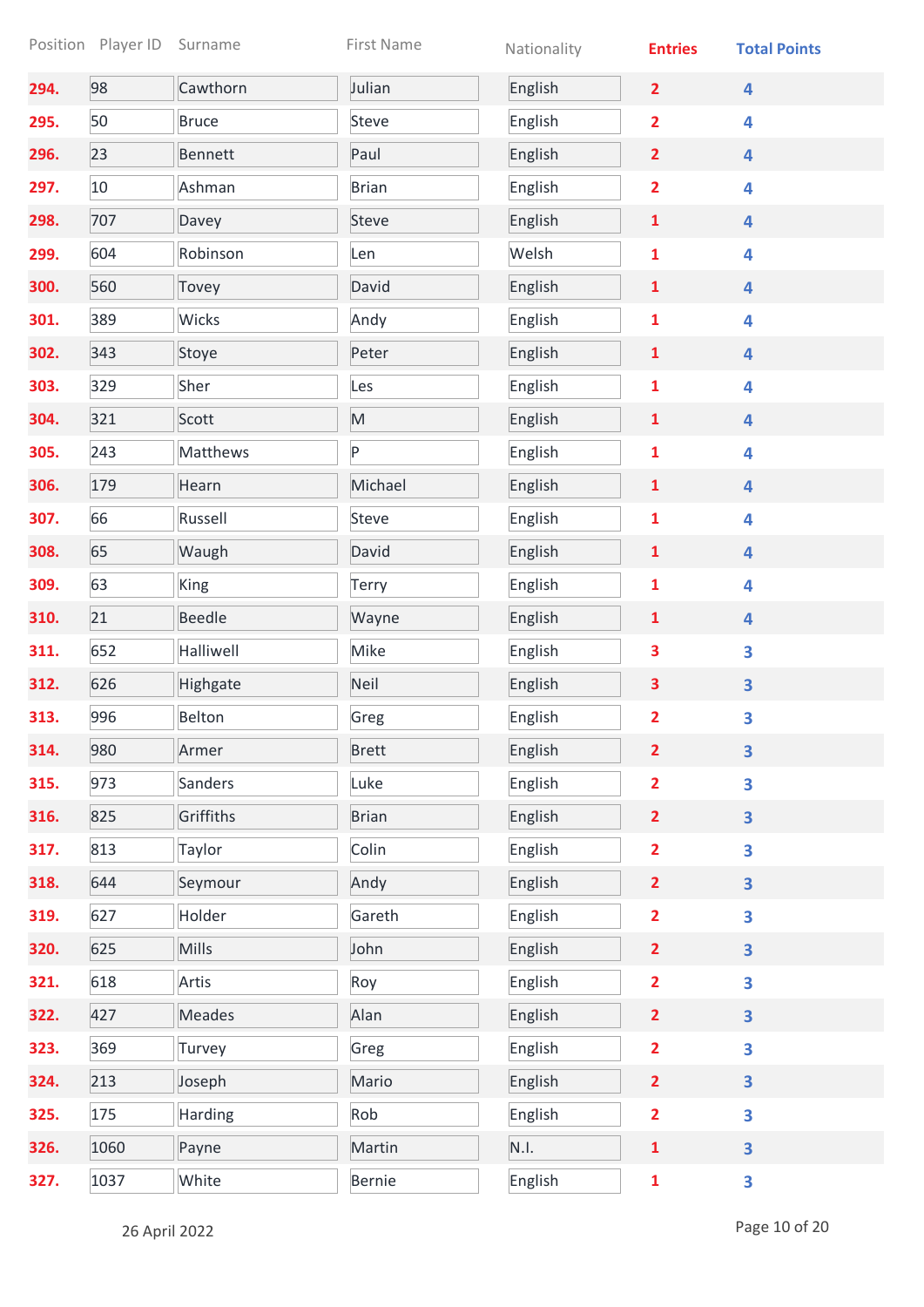|      | Position Player ID | Surname        | First Name                                                                                                 | Nationality | <b>Entries</b>          | <b>Total Points</b>     |
|------|--------------------|----------------|------------------------------------------------------------------------------------------------------------|-------------|-------------------------|-------------------------|
| 294. | 98                 | Cawthorn       | Julian                                                                                                     | English     | $\overline{2}$          | $\overline{\mathbf{4}}$ |
| 295. | 50                 | <b>Bruce</b>   | Steve                                                                                                      | English     | $\overline{\mathbf{2}}$ | 4                       |
| 296. | 23                 | <b>Bennett</b> | Paul                                                                                                       | English     | $\overline{2}$          | $\overline{\mathbf{4}}$ |
| 297. | 10                 | Ashman         | <b>Brian</b>                                                                                               | English     | 2                       | 4                       |
| 298. | 707                | Davey          | <b>Steve</b>                                                                                               | English     | 1                       | 4                       |
| 299. | 604                | Robinson       | Len                                                                                                        | Welsh       | 1                       | 4                       |
| 300. | 560                | Tovey          | David                                                                                                      | English     | $\mathbf{1}$            | 4                       |
| 301. | 389                | Wicks          | Andy                                                                                                       | English     | 1                       | 4                       |
| 302. | 343                | Stoye          | Peter                                                                                                      | English     | $\mathbf{1}$            | $\overline{\mathbf{4}}$ |
| 303. | 329                | Sher           | Les                                                                                                        | English     | 1                       | 4                       |
| 304. | 321                | Scott          | $\mathsf{M}% _{T}=\mathsf{M}_{T}\!\left( a,b\right) ,\ \mathsf{M}_{T}=\mathsf{M}_{T}\!\left( a,b\right) ,$ | English     | $\mathbf{1}$            | $\overline{\mathbf{4}}$ |
| 305. | 243                | Matthews       | P                                                                                                          | English     | 1                       | 4                       |
| 306. | 179                | Hearn          | Michael                                                                                                    | English     | $\mathbf{1}$            | 4                       |
| 307. | 66                 | Russell        | Steve                                                                                                      | English     | 1                       | 4                       |
| 308. | 65                 | Waugh          | David                                                                                                      | English     | $\mathbf{1}$            | 4                       |
| 309. | 63                 | <b>King</b>    | Terry                                                                                                      | English     | 1                       | 4                       |
| 310. | 21                 | <b>Beedle</b>  | Wayne                                                                                                      | English     | 1                       | 4                       |
| 311. | 652                | Halliwell      | Mike                                                                                                       | English     | 3                       | 3                       |
| 312. | 626                | Highgate       | <b>Neil</b>                                                                                                | English     | 3                       | 3                       |
| 313. | 996                | Belton         | Greg                                                                                                       | English     | 2                       | 3                       |
| 314. | 980                | Armer          | <b>Brett</b>                                                                                               | English     | $\overline{2}$          | $\overline{\mathbf{3}}$ |
| 315. | 973                | Sanders        | Luke                                                                                                       | English     | $\overline{\mathbf{2}}$ | 3                       |
| 316. | 825                | Griffiths      | <b>Brian</b>                                                                                               | English     | $\overline{2}$          | $\overline{\mathbf{3}}$ |
| 317. | 813                | Taylor         | Colin                                                                                                      | English     | $\overline{2}$          | 3                       |
| 318. | 644                | Seymour        | Andy                                                                                                       | English     | $\overline{2}$          | $\overline{\mathbf{3}}$ |
| 319. | 627                | Holder         | Gareth                                                                                                     | English     | $\overline{2}$          | 3                       |
| 320. | 625                | <b>Mills</b>   | John                                                                                                       | English     | $\overline{2}$          | $\overline{\mathbf{3}}$ |
| 321. | 618                | Artis          | Roy                                                                                                        | English     | $\overline{\mathbf{2}}$ | 3                       |
| 322. | 427                | Meades         | Alan                                                                                                       | English     | $\overline{2}$          | $\overline{\mathbf{3}}$ |
| 323. | 369                | Turvey         | Greg                                                                                                       | English     | $\overline{\mathbf{2}}$ | 3                       |
| 324. | 213                | Joseph         | Mario                                                                                                      | English     | $\overline{2}$          | $\overline{\mathbf{3}}$ |
| 325. | 175                | Harding        | Rob                                                                                                        | English     | $\overline{\mathbf{2}}$ | 3                       |
| 326. | 1060               | Payne          | Martin                                                                                                     | N.I.        | $\mathbf{1}$            | $\overline{\mathbf{3}}$ |
| 327. | 1037               | White          | Bernie                                                                                                     | English     | $\mathbf{1}$            | $\overline{\mathbf{3}}$ |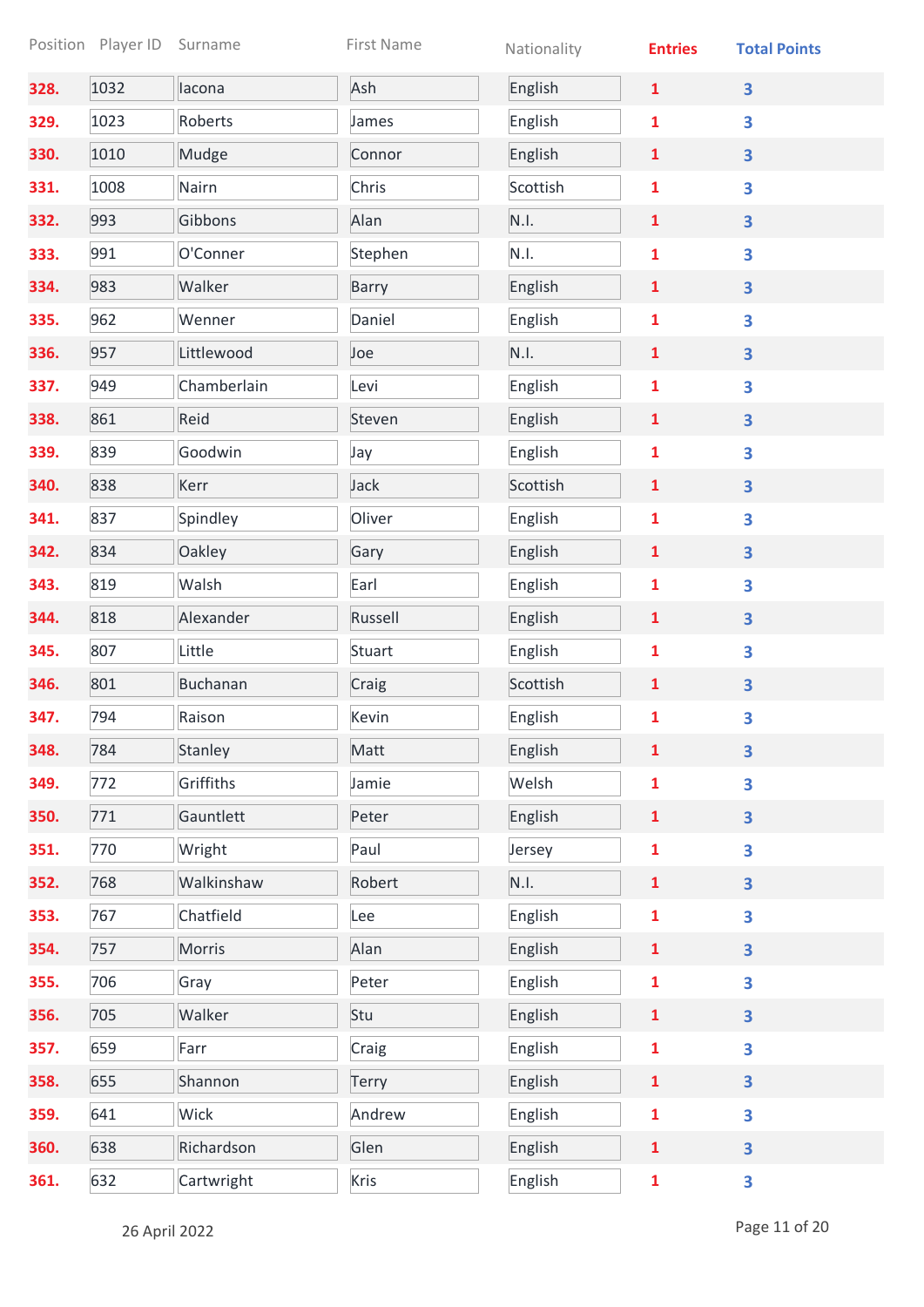|      | Position Player ID Surname |                 | First Name   | Nationality | <b>Entries</b> | <b>Total Points</b>     |
|------|----------------------------|-----------------|--------------|-------------|----------------|-------------------------|
| 328. | 1032                       | lacona          | Ash          | English     | $\mathbf{1}$   | $\overline{\mathbf{3}}$ |
| 329. | 1023                       | Roberts         | James        | English     | $\mathbf{1}$   | 3                       |
| 330. | 1010                       | Mudge           | Connor       | English     | 1              | $\overline{\mathbf{3}}$ |
| 331. | 1008                       | Nairn           | Chris        | Scottish    | 1              | 3                       |
| 332. | 993                        | Gibbons         | Alan         | N.I.        | 1              | 3                       |
| 333. | 991                        | O'Conner        | Stephen      | N.I.        | $\mathbf{1}$   | 3                       |
| 334. | 983                        | Walker          | <b>Barry</b> | English     | $\mathbf{1}$   | $\overline{\mathbf{3}}$ |
| 335. | 962                        | Wenner          | Daniel       | English     | 1              | 3                       |
| 336. | 957                        | Littlewood      | Joe          | N.I.        | $\mathbf{1}$   | $\overline{\mathbf{3}}$ |
| 337. | 949                        | Chamberlain     | Levi         | English     | 1              | 3                       |
| 338. | 861                        | Reid            | Steven       | English     | $\mathbf{1}$   | $\overline{\mathbf{3}}$ |
| 339. | 839                        | Goodwin         | Jay          | English     | 1              | 3                       |
| 340. | 838                        | Kerr            | Jack         | Scottish    | $\mathbf{1}$   | $\overline{\mathbf{3}}$ |
| 341. | 837                        | Spindley        | Oliver       | English     | 1              | 3                       |
| 342. | 834                        | Oakley          | Gary         | English     | $\mathbf{1}$   | $\overline{\mathbf{3}}$ |
| 343. | 819                        | Walsh           | Earl         | English     | 1              | 3                       |
| 344. | 818                        | Alexander       | Russell      | English     | 1              | $\overline{\mathbf{3}}$ |
| 345. | 807                        | Little          | Stuart       | English     | 1              | 3                       |
| 346. | 801                        | <b>Buchanan</b> | Craig        | Scottish    | 1              | 3                       |
| 347. | 794                        | Raison          | Kevin        | English     | 1              | 3                       |
| 348. | 784                        | Stanley         | Matt         | English     | $\mathbf{1}$   | $\overline{\mathbf{3}}$ |
| 349. | 772                        | Griffiths       | Jamie        | Welsh       | 1              | 3                       |
| 350. | 771                        | Gauntlett       | Peter        | English     | $\mathbf{1}$   | $\overline{\mathbf{3}}$ |
| 351. | 770                        | Wright          | Paul         | Jersey      | 1              | 3                       |
| 352. | 768                        | Walkinshaw      | Robert       | N.I.        | $\mathbf{1}$   | $\overline{\mathbf{3}}$ |
| 353. | 767                        | Chatfield       | Lee          | English     | $\mathbf{1}$   | 3                       |
| 354. | 757                        | Morris          | Alan         | English     | $\mathbf{1}$   | $\overline{\mathbf{3}}$ |
| 355. | 706                        | Gray            | Peter        | English     | 1              | $\overline{\mathbf{3}}$ |
| 356. | 705                        | Walker          | Stu          | English     | $\mathbf{1}$   | $\overline{\mathbf{3}}$ |
| 357. | 659                        | Farr            | Craig        | English     | 1              | 3                       |
| 358. | 655                        | Shannon         | Terry        | English     | $\mathbf{1}$   | $\overline{\mathbf{3}}$ |
| 359. | 641                        | Wick            | Andrew       | English     | 1              | 3                       |
| 360. | 638                        | Richardson      | Glen         | English     | $\mathbf{1}$   | 3                       |
| 361. | 632                        | Cartwright      | Kris         | English     | $\mathbf{1}$   | 3                       |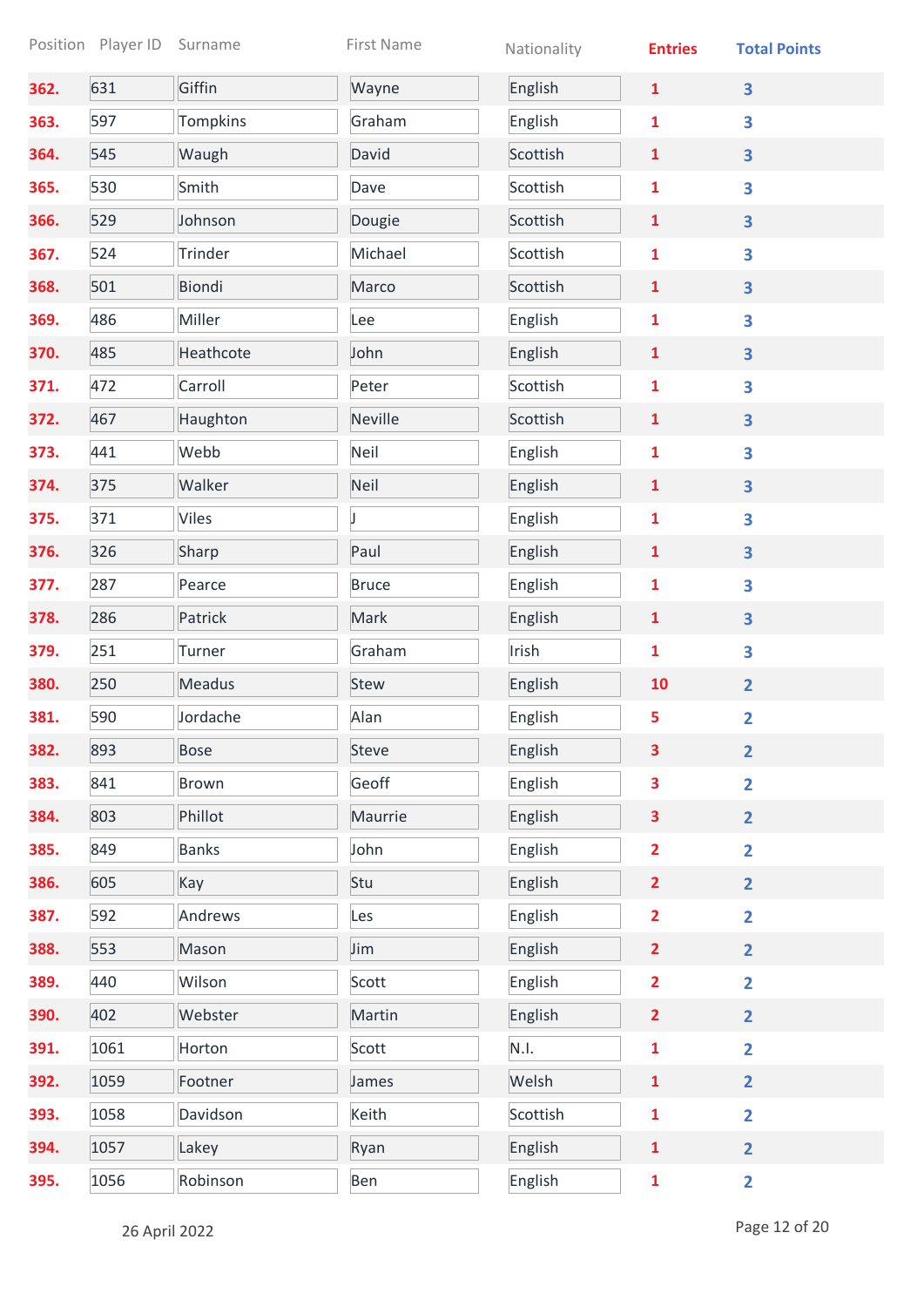|      | Position Player ID Surname |               | <b>First Name</b> | Nationality | <b>Entries</b>          | <b>Total Points</b>     |
|------|----------------------------|---------------|-------------------|-------------|-------------------------|-------------------------|
| 362. | 631                        | Giffin        | Wayne             | English     | $\mathbf{1}$            | 3                       |
| 363. | 597                        | Tompkins      | Graham            | English     | $\mathbf{1}$            | 3                       |
| 364. | 545                        | Waugh         | David             | Scottish    | $\mathbf{1}$            | $\overline{\mathbf{3}}$ |
| 365. | 530                        | Smith         | Dave              | Scottish    | $\mathbf{1}$            | 3                       |
| 366. | 529                        | Johnson       | Dougie            | Scottish    | $\mathbf{1}$            | $\overline{\mathbf{3}}$ |
| 367. | 524                        | Trinder       | Michael           | Scottish    | $\mathbf{1}$            | 3                       |
| 368. | 501                        | Biondi        | Marco             | Scottish    | $\mathbf{1}$            | $\overline{\mathbf{3}}$ |
| 369. | 486                        | Miller        | Lee               | English     | $\mathbf{1}$            | 3                       |
| 370. | 485                        | Heathcote     | John              | English     | $\mathbf{1}$            | $\overline{\mathbf{3}}$ |
| 371. | 472                        | Carroll       | Peter             | Scottish    | $\mathbf{1}$            | 3                       |
| 372. | 467                        | Haughton      | Neville           | Scottish    | $\mathbf{1}$            | $\overline{\mathbf{3}}$ |
| 373. | 441                        | Webb          | Neil              | English     | $\mathbf{1}$            | 3                       |
| 374. | 375                        | Walker        | Neil              | English     | $\mathbf{1}$            | $\overline{\mathbf{3}}$ |
| 375. | 371                        | <b>Viles</b>  | $\mathsf J$       | English     | $\mathbf{1}$            | 3                       |
| 376. | 326                        | Sharp         | Paul              | English     | $\mathbf{1}$            | $\overline{\mathbf{3}}$ |
| 377. | 287                        | Pearce        | <b>Bruce</b>      | English     | $\mathbf{1}$            | 3                       |
| 378. | 286                        | Patrick       | Mark              | English     | $\mathbf{1}$            | $\overline{\mathbf{3}}$ |
| 379. | 251                        | Turner        | Graham            | Irish       | $\mathbf{1}$            | 3                       |
| 380. | 250                        | <b>Meadus</b> | Stew              | English     | 10                      | $\overline{2}$          |
| 381. | 590                        | Jordache      | Alan              | English     | 5                       | $\overline{2}$          |
| 382. | 893                        | <b>Bose</b>   | Steve             | English     | 3                       | $\overline{2}$          |
| 383. | 841                        | <b>Brown</b>  | Geoff             | English     | 3                       | $\overline{2}$          |
| 384. | 803                        | Phillot       | Maurrie           | English     | $\overline{\mathbf{3}}$ | $\overline{2}$          |
| 385. | 849                        | <b>Banks</b>  | John              | English     | $\overline{\mathbf{2}}$ | $\overline{2}$          |
| 386. | 605                        | Kay           | Stu               | English     | $\overline{2}$          | $\overline{2}$          |
| 387. | 592                        | Andrews       | Les               | English     | $\overline{2}$          | $\overline{2}$          |
| 388. | 553                        | Mason         | Jim               | English     | $\overline{2}$          | $\overline{2}$          |
| 389. | 440                        | Wilson        | Scott             | English     | $\overline{\mathbf{2}}$ | $\overline{2}$          |
| 390. | 402                        | Webster       | Martin            | English     | $\overline{2}$          | $\overline{2}$          |
| 391. | 1061                       | Horton        | Scott             | N.I.        | $\mathbf{1}$            | $\overline{2}$          |
| 392. | 1059                       | Footner       | James             | Welsh       | $\mathbf{1}$            | $\overline{2}$          |
| 393. | 1058                       | Davidson      | Keith             | Scottish    | $\mathbf{1}$            | $\overline{2}$          |
| 394. | 1057                       | Lakey         | Ryan              | English     | $\mathbf{1}$            | $\overline{2}$          |
| 395. | 1056                       | Robinson      | Ben               | English     | $\mathbf{1}$            | $\overline{2}$          |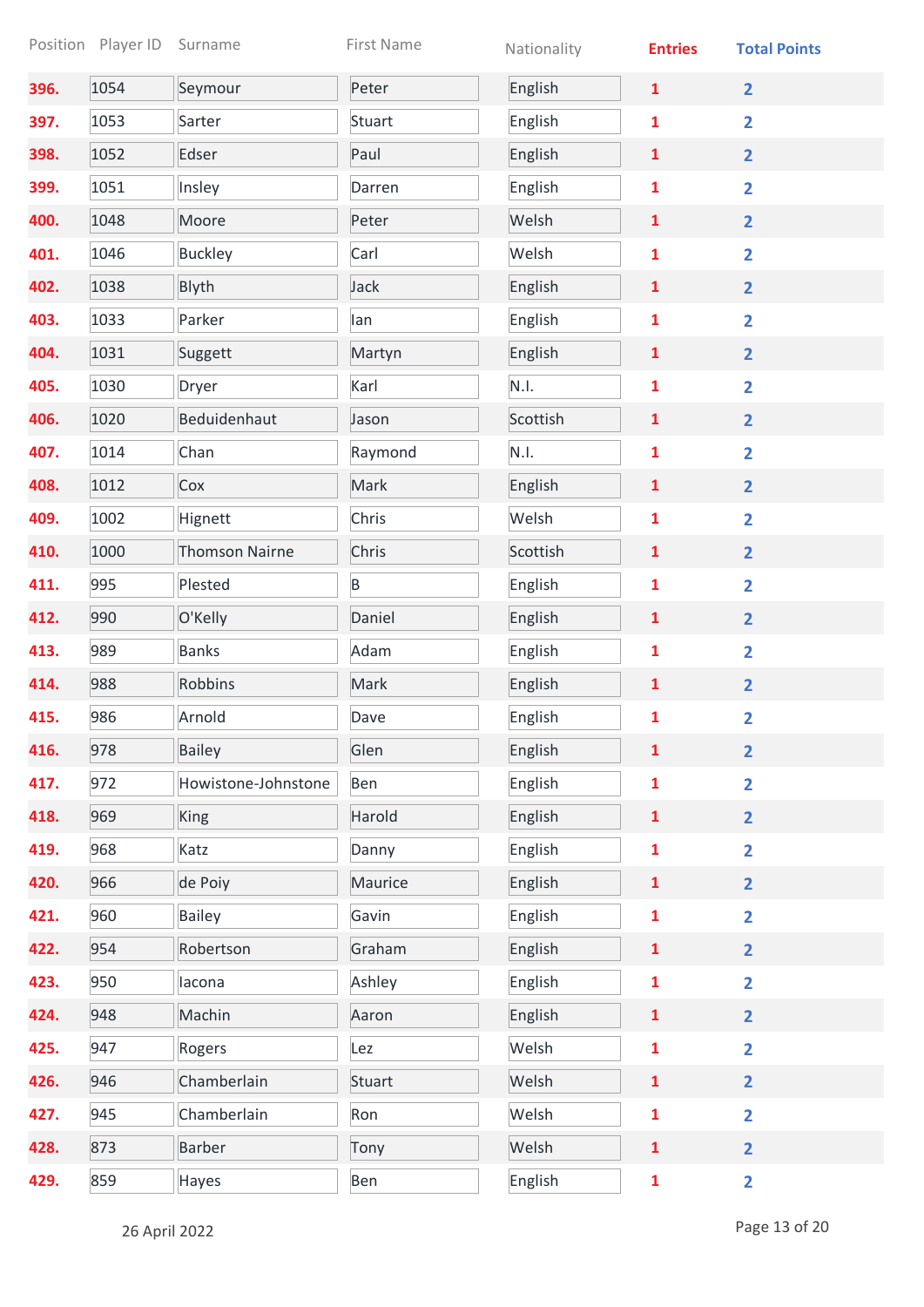|      | Position Player ID Surname |                       | First Name | Nationality | <b>Entries</b> | <b>Total Points</b>     |
|------|----------------------------|-----------------------|------------|-------------|----------------|-------------------------|
| 396. | 1054                       | Seymour               | Peter      | English     | $\mathbf{1}$   | $\overline{2}$          |
| 397. | 1053                       | Sarter                | Stuart     | English     | $\mathbf{1}$   | $\overline{2}$          |
| 398. | 1052                       | Edser                 | Paul       | English     | $\mathbf{1}$   | $\overline{2}$          |
| 399. | 1051                       | Insley                | Darren     | English     | 1              | $\overline{2}$          |
| 400. | 1048                       | Moore                 | Peter      | Welsh       | 1              | $\overline{2}$          |
| 401. | 1046                       | <b>Buckley</b>        | Carl       | Welsh       | 1              | $\overline{2}$          |
| 402. | 1038                       | Blyth                 | Jack       | English     | $\mathbf{1}$   | $\overline{2}$          |
| 403. | 1033                       | Parker                | lan        | English     | 1              | $\overline{2}$          |
| 404. | 1031                       | Suggett               | Martyn     | English     | 1              | $\overline{2}$          |
| 405. | 1030                       | Dryer                 | Karl       | N.I.        | $\mathbf{1}$   | $\overline{2}$          |
| 406. | 1020                       | Beduidenhaut          | Jason      | Scottish    | $\mathbf{1}$   | $\overline{2}$          |
| 407. | 1014                       | Chan                  | Raymond    | N.I.        | $\mathbf{1}$   | $\overline{2}$          |
| 408. | 1012                       | Cox                   | Mark       | English     | $\mathbf{1}$   | $\overline{2}$          |
| 409. | 1002                       | Hignett               | Chris      | Welsh       | 1              | $\overline{2}$          |
| 410. | 1000                       | <b>Thomson Nairne</b> | Chris      | Scottish    | $\mathbf{1}$   | $\overline{2}$          |
| 411. | 995                        | Plested               | B          | English     | 1              | $\overline{2}$          |
| 412. | 990                        | O'Kelly               | Daniel     | English     | $\mathbf{1}$   | $\overline{2}$          |
| 413. | 989                        | <b>Banks</b>          | Adam       | English     | 1              | $\overline{2}$          |
| 414. | 988                        | Robbins               | Mark       | English     | 1              | $\overline{2}$          |
| 415. | 986                        | Arnold                | Dave       | English     | 1              | $\overline{\mathbf{2}}$ |
| 416. | 978                        | <b>Bailey</b>         | Glen       | English     | 1              | $\overline{2}$          |
| 417. | 972                        | Howistone-Johnstone   | Ben        | English     | $\mathbf{1}$   | $\overline{2}$          |
| 418. | 969                        | King                  | Harold     | English     | 1              | $\overline{2}$          |
| 419. | 968                        | Katz                  | Danny      | English     | 1              | $\overline{2}$          |
| 420. | 966                        | de Poiy               | Maurice    | English     | 1              | $\overline{2}$          |
| 421. | 960                        | <b>Bailey</b>         | Gavin      | English     | $\mathbf{1}$   | $\overline{2}$          |
| 422. | 954                        | Robertson             | Graham     | English     | $\mathbf{1}$   | $\overline{2}$          |
| 423. | 950                        | lacona                | Ashley     | English     | 1              | $\overline{2}$          |
| 424. | 948                        | Machin                | Aaron      | English     | $\mathbf{1}$   | $\overline{2}$          |
| 425. | 947                        | Rogers                | Lez        | Welsh       | 1              | $\overline{2}$          |
| 426. | 946                        | Chamberlain           | Stuart     | Welsh       | $\mathbf{1}$   | $\overline{2}$          |
| 427. | 945                        | Chamberlain           | Ron        | Welsh       | 1              | $\overline{2}$          |
| 428. | 873                        | <b>Barber</b>         | Tony       | Welsh       | $\mathbf{1}$   | $\overline{2}$          |
| 429. | 859                        | <b>Hayes</b>          | Ben        | English     | $\mathbf{1}$   | $\overline{2}$          |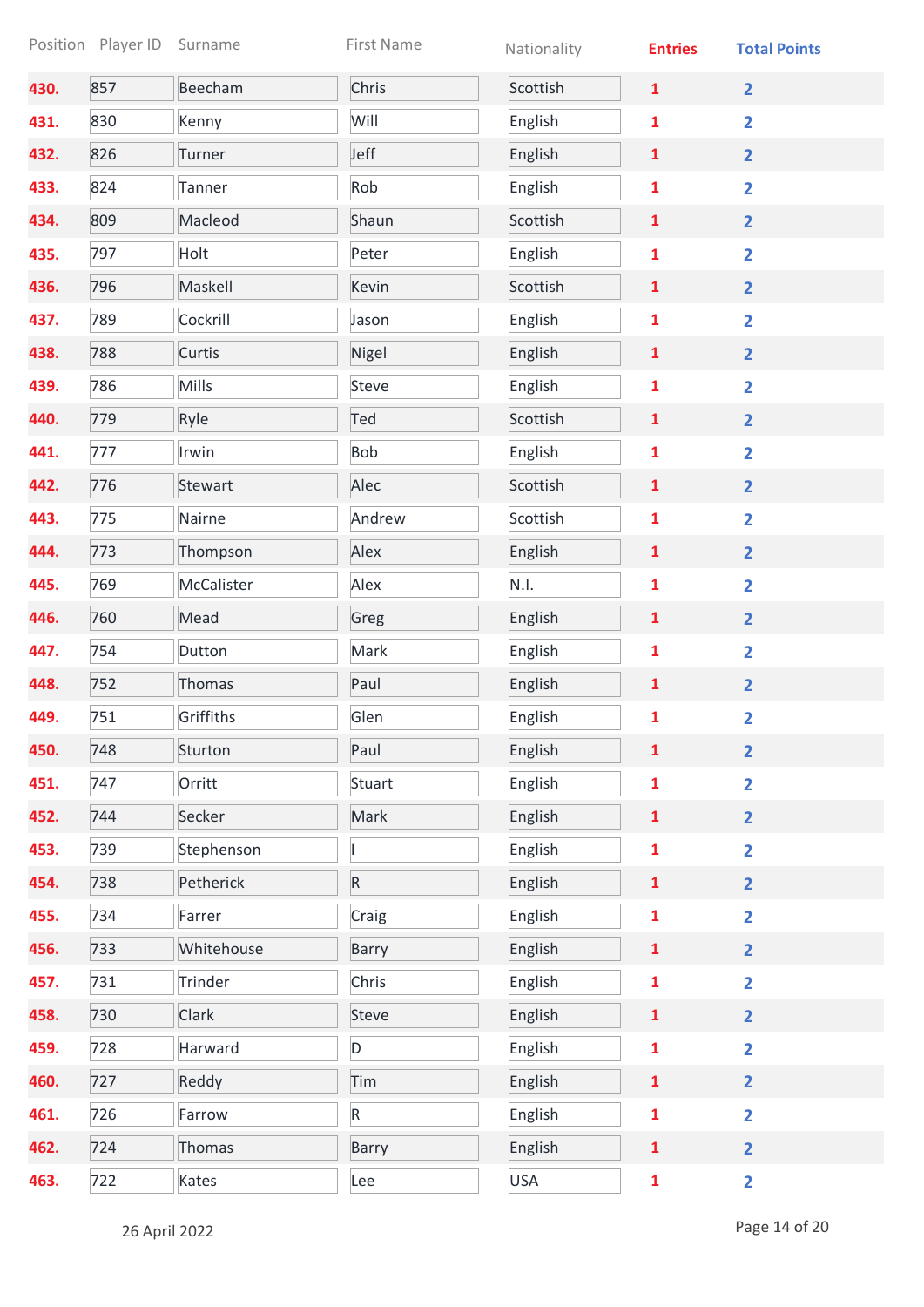|      | Position Player ID | Surname    | First Name | Nationality | <b>Entries</b> | <b>Total Points</b>     |
|------|--------------------|------------|------------|-------------|----------------|-------------------------|
| 430. | 857                | Beecham    | Chris      | Scottish    | $\mathbf{1}$   | $\overline{2}$          |
| 431. | 830                | Kenny      | Will       | English     | $\mathbf{1}$   | $\overline{2}$          |
| 432. | 826                | Turner     | Jeff       | English     | $\mathbf{1}$   | $\overline{2}$          |
| 433. | 824                | Tanner     | Rob        | English     | $\mathbf{1}$   | $\overline{2}$          |
| 434. | 809                | Macleod    | Shaun      | Scottish    | $\mathbf{1}$   | $\overline{2}$          |
| 435. | 797                | Holt       | Peter      | English     | $\mathbf{1}$   | $\overline{2}$          |
| 436. | 796                | Maskell    | Kevin      | Scottish    | $\mathbf{1}$   | $\overline{2}$          |
| 437. | 789                | Cockrill   | Jason      | English     | $\mathbf{1}$   | $\overline{2}$          |
| 438. | 788                | Curtis     | Nigel      | English     | $\mathbf{1}$   | $\overline{2}$          |
| 439. | 786                | Mills      | Steve      | English     | $\mathbf{1}$   | $\overline{2}$          |
| 440. | 779                | Ryle       | Ted        | Scottish    | $\mathbf{1}$   | $\overline{2}$          |
| 441. | 777                | Irwin      | Bob        | English     | $\mathbf{1}$   | $\overline{2}$          |
| 442. | 776                | Stewart    | Alec       | Scottish    | $\mathbf{1}$   | $\overline{2}$          |
| 443. | 775                | Nairne     | Andrew     | Scottish    | $\mathbf{1}$   | $\overline{2}$          |
| 444. | 773                | Thompson   | Alex       | English     | $\mathbf{1}$   | $\overline{2}$          |
| 445. | 769                | McCalister | Alex       | N.I.        | $\mathbf{1}$   | $\overline{2}$          |
| 446. | 760                | Mead       | Greg       | English     | $\mathbf{1}$   | $\overline{2}$          |
| 447. | 754                | Dutton     | Mark       | English     | $\mathbf{1}$   | $\overline{2}$          |
| 448. | 752                | Thomas     | Paul       | English     | $\mathbf{1}$   | $\overline{2}$          |
| 449. | 751                | Griffiths  | Glen       | English     | $\mathbf{1}$   | $\overline{\mathbf{2}}$ |
| 450. | 748                | Sturton    | Paul       | English     | $\mathbf{1}$   | $\overline{2}$          |
| 451. | 747                | Orritt     | Stuart     | English     | $\mathbf{1}$   | $\overline{2}$          |
| 452. | 744                | Secker     | Mark       | English     | $\mathbf{1}$   | $\overline{2}$          |
| 453. | 739                | Stephenson |            | English     | $\mathbf{1}$   | $\overline{2}$          |
| 454. | 738                | Petherick  | ${\sf R}$  | English     | $\mathbf{1}$   | $\overline{2}$          |
| 455. | 734                | Farrer     | Craig      | English     | $\mathbf{1}$   | $\overline{2}$          |
| 456. | 733                | Whitehouse | Barry      | English     | $\mathbf{1}$   | $\overline{2}$          |
| 457. | 731                | Trinder    | Chris      | English     | $\mathbf{1}$   | $\overline{2}$          |
| 458. | 730                | Clark      | Steve      | English     | $\mathbf{1}$   | $\overline{2}$          |
| 459. | 728                | Harward    | D          | English     | $\mathbf{1}$   | $\overline{2}$          |
| 460. | 727                | Reddy      | Tim        | English     | $\mathbf{1}$   | $\overline{2}$          |
| 461. | 726                | Farrow     | R          | English     | $\mathbf{1}$   | $\overline{2}$          |
| 462. | 724                | Thomas     | Barry      | English     | $\mathbf{1}$   | $\overline{2}$          |
| 463. | 722                | Kates      | Lee        | <b>USA</b>  | $\mathbf{1}$   | $\overline{\mathbf{2}}$ |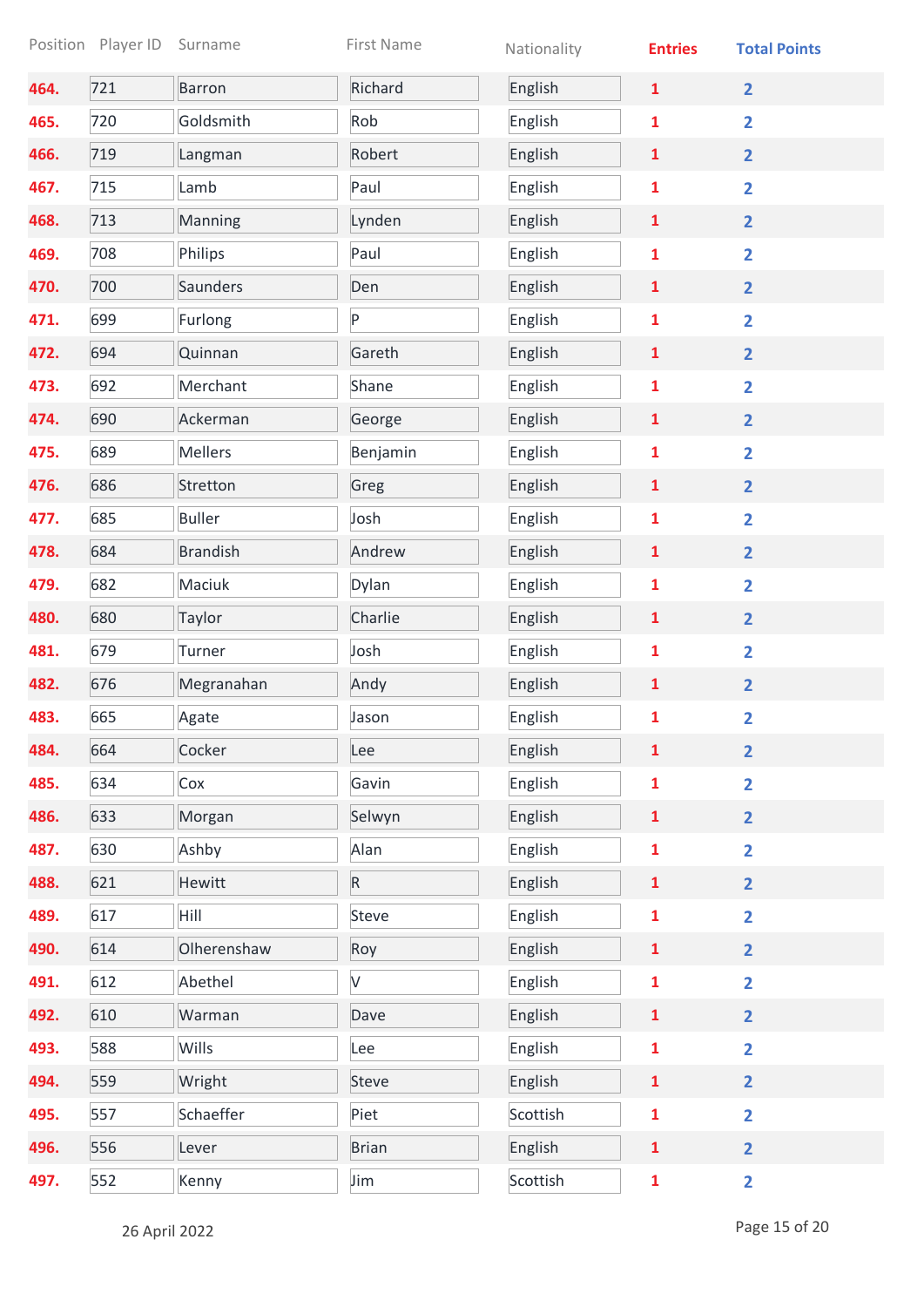|      | Position Player ID | Surname         | First Name   | Nationality | <b>Entries</b> | <b>Total Points</b>     |
|------|--------------------|-----------------|--------------|-------------|----------------|-------------------------|
| 464. | 721                | <b>Barron</b>   | Richard      | English     | $\mathbf{1}$   | $\overline{2}$          |
| 465. | 720                | Goldsmith       | Rob          | English     | $\mathbf{1}$   | $\overline{2}$          |
| 466. | 719                | Langman         | Robert       | English     | ${\bf 1}$      | $\overline{2}$          |
| 467. | 715                | Lamb            | Paul         | English     | $\mathbf{1}$   | $\overline{\mathbf{2}}$ |
| 468. | 713                | Manning         | Lynden       | English     | $\mathbf{1}$   | $\overline{2}$          |
| 469. | 708                | Philips         | Paul         | English     | $\mathbf{1}$   | $\overline{2}$          |
| 470. | 700                | Saunders        | Den          | English     | $\mathbf{1}$   | $\overline{2}$          |
| 471. | 699                | Furlong         | P            | English     | $\mathbf{1}$   | $\overline{2}$          |
| 472. | 694                | Quinnan         | Gareth       | English     | $\mathbf{1}$   | $\overline{2}$          |
| 473. | 692                | Merchant        | Shane        | English     | $\mathbf{1}$   | $\overline{2}$          |
| 474. | 690                | Ackerman        | George       | English     | $\mathbf{1}$   | $\overline{2}$          |
| 475. | 689                | <b>Mellers</b>  | Benjamin     | English     | $\mathbf{1}$   | $\overline{2}$          |
| 476. | 686                | Stretton        | Greg         | English     | $\mathbf{1}$   | $\overline{2}$          |
| 477. | 685                | <b>Buller</b>   | Josh         | English     | $\mathbf{1}$   | $\overline{2}$          |
| 478. | 684                | <b>Brandish</b> | Andrew       | English     | $\mathbf{1}$   | $\overline{2}$          |
| 479. | 682                | Maciuk          | Dylan        | English     | 1              | $\overline{2}$          |
| 480. | 680                | Taylor          | Charlie      | English     | ${\bf 1}$      | $\overline{2}$          |
| 481. | 679                | Turner          | Josh         | English     | $\mathbf{1}$   | $\overline{2}$          |
| 482. | 676                | Megranahan      | Andy         | English     | $\mathbf{1}$   | $\overline{2}$          |
| 483. | 665                | Agate           | Jason        | English     | 1              | $\overline{\mathbf{2}}$ |
| 484. | 664                | Cocker          | Lee          | English     | $\mathbf{1}$   | $\overline{2}$          |
| 485. | 634                | Cox             | Gavin        | English     | $\mathbf{1}$   | $\overline{2}$          |
| 486. | 633                | Morgan          | Selwyn       | English     | $\mathbf 1$    | $\overline{2}$          |
| 487. | 630                | Ashby           | Alan         | English     | $\mathbf{1}$   | $\overline{2}$          |
| 488. | 621                | Hewitt          | $\sf R$      | English     | $\mathbf{1}$   | $\overline{2}$          |
| 489. | 617                | Hill            | Steve        | English     | $\mathbf{1}$   | $\overline{2}$          |
| 490. | 614                | Olherenshaw     | Roy          | English     | $\mathbf 1$    | $\overline{2}$          |
| 491. | 612                | Abethel         | $\vee$       | English     | ${\bf 1}$      | $\overline{2}$          |
| 492. | 610                | Warman          | Dave         | English     | $\mathbf{1}$   | $\overline{2}$          |
| 493. | 588                | Wills           | Lee          | English     | $\mathbf{1}$   | $\overline{2}$          |
| 494. | 559                | Wright          | Steve        | English     | $\mathbf{1}$   | $\overline{2}$          |
| 495. | 557                | Schaeffer       | Piet         | Scottish    | $\mathbf{1}$   | $\overline{2}$          |
| 496. | 556                | Lever           | <b>Brian</b> | English     | $\mathbf{1}$   | $\overline{2}$          |
| 497. | 552                | Kenny           | Jim          | Scottish    | $\mathbf{1}$   | $\overline{2}$          |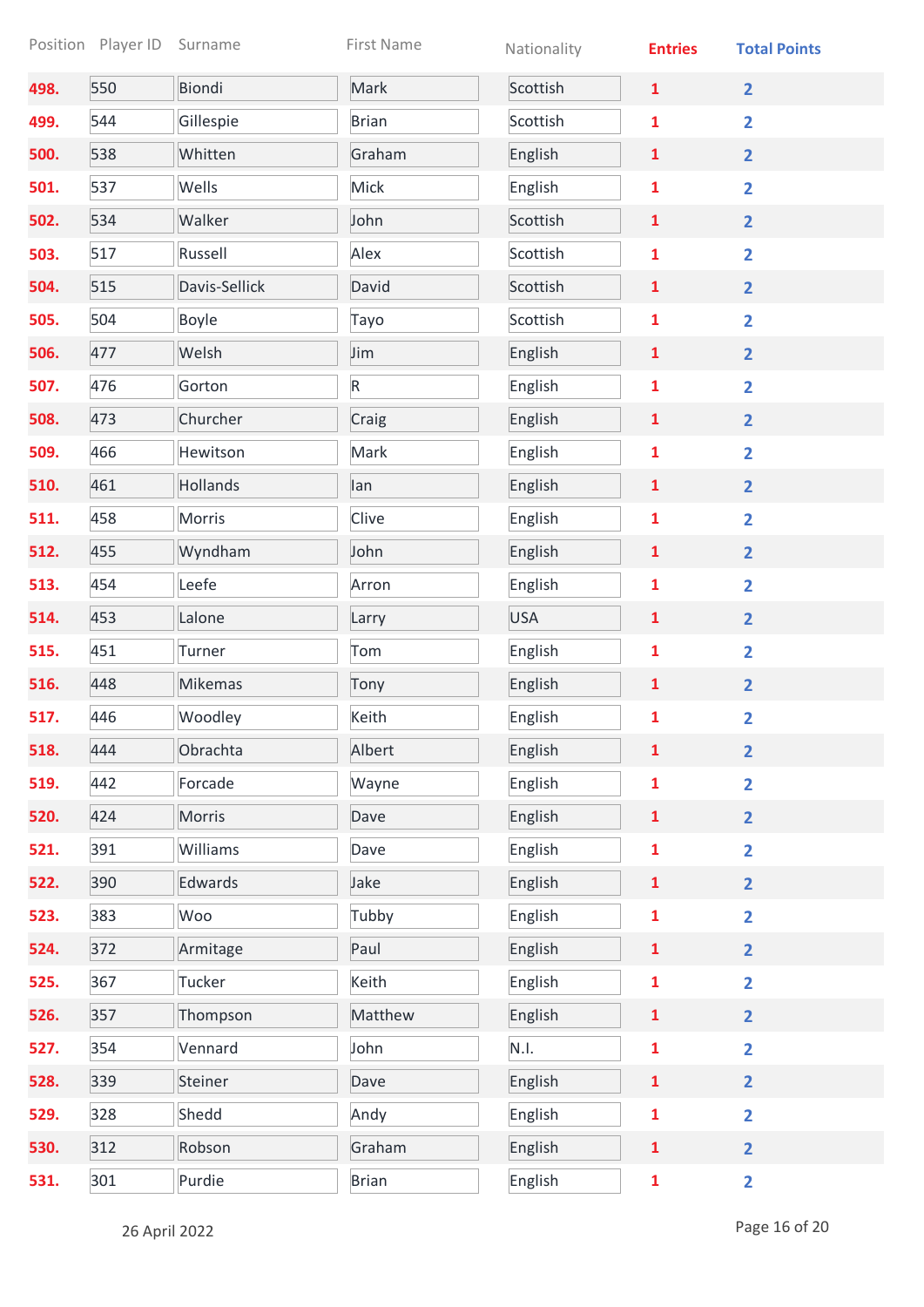|      | Position Player ID | Surname        | <b>First Name</b> | Nationality | <b>Entries</b> | <b>Total Points</b>     |
|------|--------------------|----------------|-------------------|-------------|----------------|-------------------------|
| 498. | 550                | Biondi         | Mark              | Scottish    | $\mathbf{1}$   | $\overline{2}$          |
| 499. | 544                | Gillespie      | <b>Brian</b>      | Scottish    | $\mathbf{1}$   | $\overline{2}$          |
| 500. | 538                | Whitten        | Graham            | English     | $\mathbf{1}$   | $\overline{2}$          |
| 501. | 537                | Wells          | Mick              | English     | 1              | $\overline{2}$          |
| 502. | 534                | Walker         | John              | Scottish    | $\mathbf{1}$   | $\overline{2}$          |
| 503. | 517                | Russell        | Alex              | Scottish    | 1              | $\overline{2}$          |
| 504. | 515                | Davis-Sellick  | David             | Scottish    | $\mathbf{1}$   | $\overline{2}$          |
| 505. | 504                | <b>Boyle</b>   | Tayo              | Scottish    | 1              | $\overline{2}$          |
| 506. | 477                | Welsh          | Jim               | English     | $\mathbf{1}$   | $\overline{2}$          |
| 507. | 476                | Gorton         | $\mathsf R$       | English     | 1              | $\overline{2}$          |
| 508. | 473                | Churcher       | Craig             | English     | $\mathbf{1}$   | $\overline{2}$          |
| 509. | 466                | Hewitson       | Mark              | English     | 1              | $\overline{2}$          |
| 510. | 461                | Hollands       | lan               | English     | $\mathbf{1}$   | $\overline{2}$          |
| 511. | 458                | <b>Morris</b>  | Clive             | English     | 1              | $\overline{2}$          |
| 512. | 455                | Wyndham        | John              | English     | $\mathbf{1}$   | $\overline{2}$          |
| 513. | 454                | Leefe          | Arron             | English     | $\mathbf{1}$   | $\overline{2}$          |
| 514. | 453                | Lalone         | Larry             | <b>USA</b>  | $\mathbf{1}$   | $\overline{2}$          |
| 515. | 451                | Turner         | Tom               | English     | 1              | $\overline{2}$          |
| 516. | 448                | <b>Mikemas</b> | Tony              | English     | 1              | $\overline{2}$          |
| 517. | 446                | Woodley        | Keith             | English     | 1              | $\overline{\mathbf{2}}$ |
| 518. | 444                | Obrachta       | Albert            | English     | $\mathbf{1}$   | $\overline{2}$          |
| 519. | 442                | Forcade        | Wayne             | English     | $\mathbf{1}$   | $\overline{2}$          |
| 520. | 424                | Morris         | Dave              | English     | $\mathbf{1}$   | $\overline{2}$          |
| 521. | 391                | Williams       | Dave              | English     | 1              | $\overline{2}$          |
| 522. | 390                | Edwards        | Jake              | English     | $\mathbf{1}$   | $\overline{2}$          |
| 523. | 383                | Woo            | Tubby             | English     | $\mathbf{1}$   | $\overline{2}$          |
| 524. | 372                | Armitage       | Paul              | English     | $\mathbf{1}$   | $\overline{2}$          |
| 525. | 367                | Tucker         | Keith             | English     | $\mathbf{1}$   | $\overline{2}$          |
| 526. | 357                | Thompson       | Matthew           | English     | $\mathbf{1}$   | $\overline{2}$          |
| 527. | 354                | Vennard        | John              | N.I.        | 1              | $\overline{2}$          |
| 528. | 339                | Steiner        | Dave              | English     | $\mathbf{1}$   | $\overline{2}$          |
| 529. | 328                | Shedd          | Andy              | English     | $\mathbf{1}$   | $\overline{2}$          |
| 530. | 312                | Robson         | Graham            | English     | $\mathbf{1}$   | $\overline{2}$          |
| 531. | 301                | Purdie         | <b>Brian</b>      | English     | $\mathbf{1}$   | $\overline{2}$          |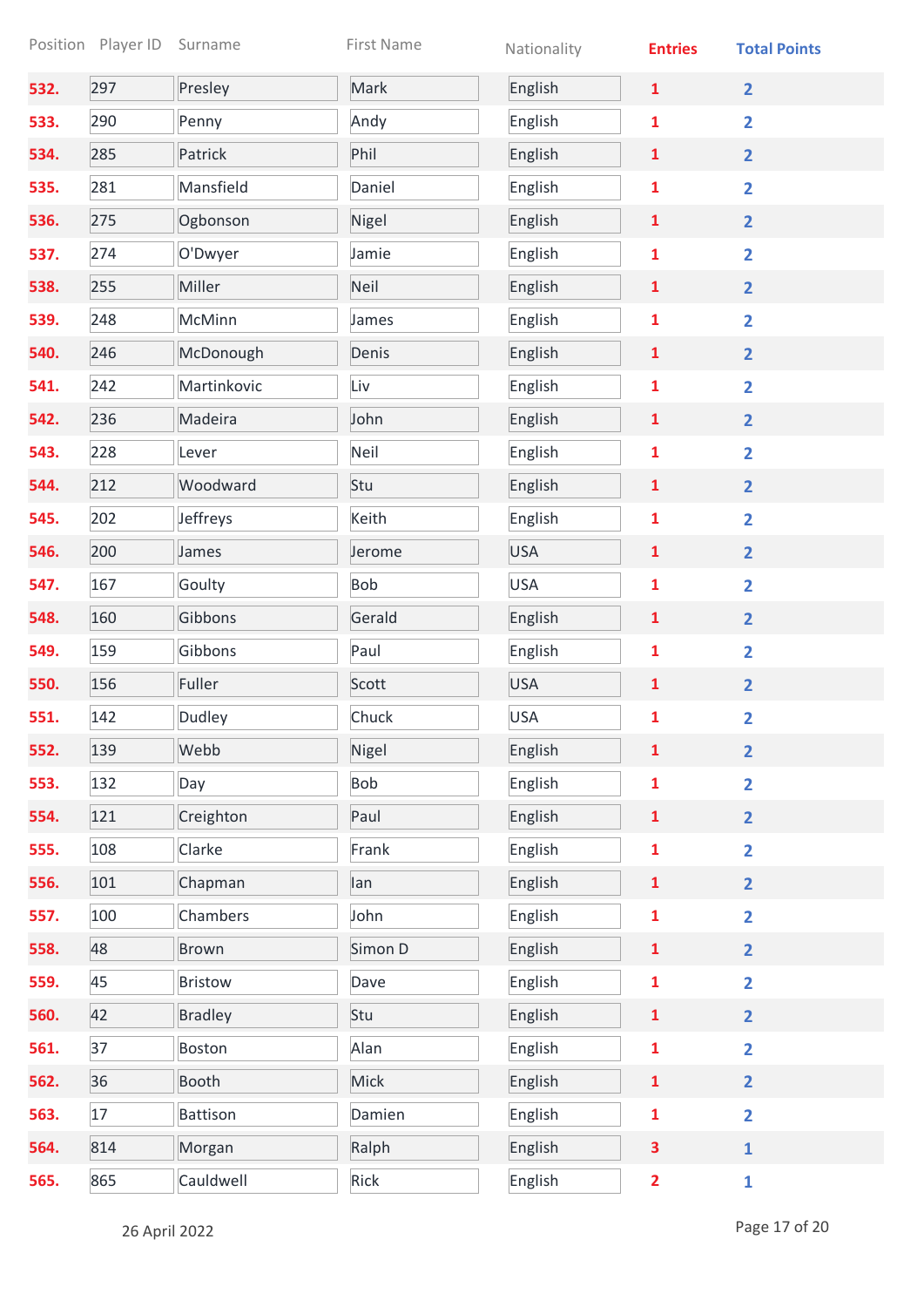|      | Position Player ID | Surname         | First Name | Nationality | <b>Entries</b>          | <b>Total Points</b>     |
|------|--------------------|-----------------|------------|-------------|-------------------------|-------------------------|
| 532. | 297                | Presley         | Mark       | English     | $\mathbf{1}$            | $\overline{2}$          |
| 533. | 290                | Penny           | Andy       | English     | $\mathbf{1}$            | $\overline{2}$          |
| 534. | 285                | Patrick         | Phil       | English     | $\mathbf{1}$            | $\overline{2}$          |
| 535. | 281                | Mansfield       | Daniel     | English     | $\mathbf{1}$            | $\overline{2}$          |
| 536. | 275                | Ogbonson        | Nigel      | English     | $\mathbf{1}$            | $\overline{2}$          |
| 537. | 274                | O'Dwyer         | Jamie      | English     | 1                       | $\overline{2}$          |
| 538. | 255                | Miller          | Neil       | English     | $\mathbf{1}$            | $\overline{2}$          |
| 539. | 248                | McMinn          | James      | English     | 1                       | $\overline{2}$          |
| 540. | 246                | McDonough       | Denis      | English     | $\mathbf{1}$            | $\overline{2}$          |
| 541. | 242                | Martinkovic     | Liv        | English     | 1                       | $\overline{2}$          |
| 542. | 236                | Madeira         | John       | English     | $\mathbf{1}$            | $\overline{2}$          |
| 543. | 228                | Lever           | Neil       | English     | 1                       | $\overline{2}$          |
| 544. | 212                | Woodward        | Stu        | English     | $\mathbf{1}$            | $\overline{2}$          |
| 545. | 202                | Jeffreys        | Keith      | English     | $\mathbf{1}$            | $\overline{2}$          |
| 546. | 200                | James           | Jerome     | <b>USA</b>  | $\mathbf{1}$            | $\overline{2}$          |
| 547. | 167                | Goulty          | Bob        | <b>USA</b>  | $\mathbf{1}$            | $\overline{2}$          |
| 548. | 160                | Gibbons         | Gerald     | English     | $\mathbf{1}$            | $\overline{2}$          |
| 549. | 159                | Gibbons         | Paul       | English     | 1                       | $\overline{2}$          |
| 550. | 156                | Fuller          | Scott      | <b>USA</b>  | $\mathbf{1}$            | $\overline{2}$          |
| 551. | 142                | Dudley          | Chuck      | <b>USA</b>  | 1                       | $\overline{\mathbf{2}}$ |
| 552. | 139                | Webb            | Nigel      | English     | $\mathbf{1}$            | $\overline{2}$          |
| 553. | 132                | Day             | Bob        | English     | $\mathbf{1}$            | $\overline{2}$          |
| 554. | 121                | Creighton       | Paul       | English     | $\mathbf{1}$            | $\overline{2}$          |
| 555. | 108                | Clarke          | Frank      | English     | $\mathbf{1}$            | $\overline{2}$          |
| 556. | 101                | Chapman         | lan        | English     | $\mathbf{1}$            | $\overline{2}$          |
| 557. | 100                | Chambers        | John       | English     | $\mathbf{1}$            | $\overline{2}$          |
| 558. | 48                 | <b>Brown</b>    | Simon D    | English     | $\mathbf{1}$            | $\overline{2}$          |
| 559. | 45                 | <b>Bristow</b>  | Dave       | English     | $\mathbf{1}$            | $\overline{2}$          |
| 560. | 42                 | <b>Bradley</b>  | Stu        | English     | $\mathbf{1}$            | $\overline{2}$          |
| 561. | 37                 | Boston          | Alan       | English     | $\mathbf{1}$            | $\overline{2}$          |
| 562. | 36                 | Booth           | Mick       | English     | ${\bf 1}$               | $\overline{2}$          |
| 563. | 17                 | <b>Battison</b> | Damien     | English     | $\mathbf{1}$            | $\overline{\mathbf{2}}$ |
| 564. | 814                | Morgan          | Ralph      | English     | 3                       | $\mathbf{1}$            |
| 565. | 865                | Cauldwell       | Rick       | English     | $\overline{\mathbf{2}}$ | $\mathbf{1}$            |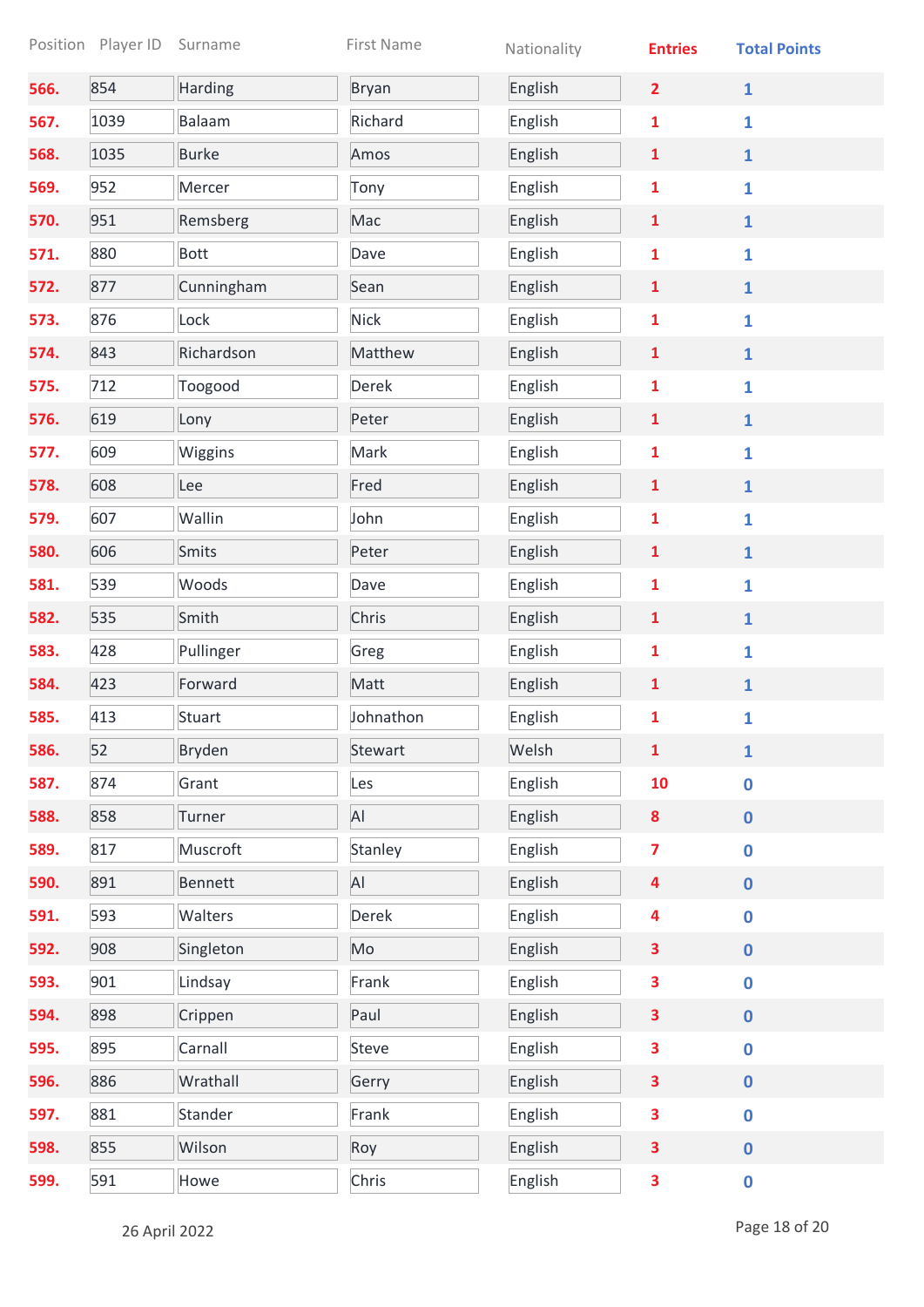|      | Position Player ID | Surname      | First Name   | Nationality | <b>Entries</b>          | <b>Total Points</b> |
|------|--------------------|--------------|--------------|-------------|-------------------------|---------------------|
| 566. | 854                | Harding      | <b>Bryan</b> | English     | $\overline{2}$          | $\mathbf{1}$        |
| 567. | 1039               | Balaam       | Richard      | English     | 1                       | $\mathbf{1}$        |
| 568. | 1035               | <b>Burke</b> | Amos         | English     | 1                       | $\mathbf{1}$        |
| 569. | 952                | Mercer       | Tony         | English     | 1                       | $\mathbf{1}$        |
| 570. | 951                | Remsberg     | Mac          | English     | 1                       | $\mathbf{1}$        |
| 571. | 880                | <b>Bott</b>  | Dave         | English     | 1                       | $\mathbf{1}$        |
| 572. | 877                | Cunningham   | Sean         | English     | 1                       | $\mathbf{1}$        |
| 573. | 876                | Lock         | <b>Nick</b>  | English     | 1                       | $\mathbf{1}$        |
| 574. | 843                | Richardson   | Matthew      | English     | $\mathbf{1}$            | $\mathbf{1}$        |
| 575. | 712                | Toogood      | Derek        | English     | $\mathbf{1}$            | $\mathbf{1}$        |
| 576. | 619                | Lony         | Peter        | English     | $\mathbf{1}$            | $\mathbf{1}$        |
| 577. | 609                | Wiggins      | Mark         | English     | 1                       | $\mathbf{1}$        |
| 578. | 608                | Lee          | Fred         | English     | $\mathbf{1}$            | $\mathbf{1}$        |
| 579. | 607                | Wallin       | John         | English     | 1                       | $\mathbf{1}$        |
| 580. | 606                | Smits        | Peter        | English     | $\mathbf{1}$            | $\mathbf{1}$        |
| 581. | 539                | Woods        | Dave         | English     | 1                       | $\mathbf{1}$        |
| 582. | 535                | Smith        | Chris        | English     | 1                       | $\mathbf{1}$        |
| 583. | 428                | Pullinger    | Greg         | English     | 1                       | $\mathbf{1}$        |
| 584. | 423                | Forward      | Matt         | English     | 1                       | $\mathbf{1}$        |
| 585. | 413                | Stuart       | Johnathon    | English     | 1                       | 1                   |
| 586. | 52                 | Bryden       | Stewart      | Welsh       | $\mathbf{1}$            | $\mathbf{1}$        |
| 587. | 874                | Grant        | Les          | English     | 10                      | $\mathbf 0$         |
| 588. | 858                | Turner       | AI           | English     | $\boldsymbol{8}$        | $\mathbf 0$         |
| 589. | 817                | Muscroft     | Stanley      | English     | $\overline{\mathbf{z}}$ | $\mathbf 0$         |
| 590. | 891                | Bennett      | AI           | English     | 4                       | $\mathbf 0$         |
| 591. | 593                | Walters      | Derek        | English     | 4                       | $\mathbf 0$         |
| 592. | 908                | Singleton    | Mo           | English     | 3                       | $\mathbf{0}$        |
| 593. | 901                | Lindsay      | Frank        | English     | 3                       | $\mathbf 0$         |
| 594. | 898                | Crippen      | Paul         | English     | 3                       | $\pmb{0}$           |
| 595. | 895                | Carnall      | Steve        | English     | 3                       | $\mathbf 0$         |
| 596. | 886                | Wrathall     | Gerry        | English     | 3                       | $\mathbf 0$         |
| 597. | 881                | Stander      | Frank        | English     | 3                       | $\mathbf 0$         |
| 598. | 855                | Wilson       | Roy          | English     | 3                       | $\pmb{0}$           |
| 599. | 591                | Howe         | Chris        | English     | 3                       | $\mathbf 0$         |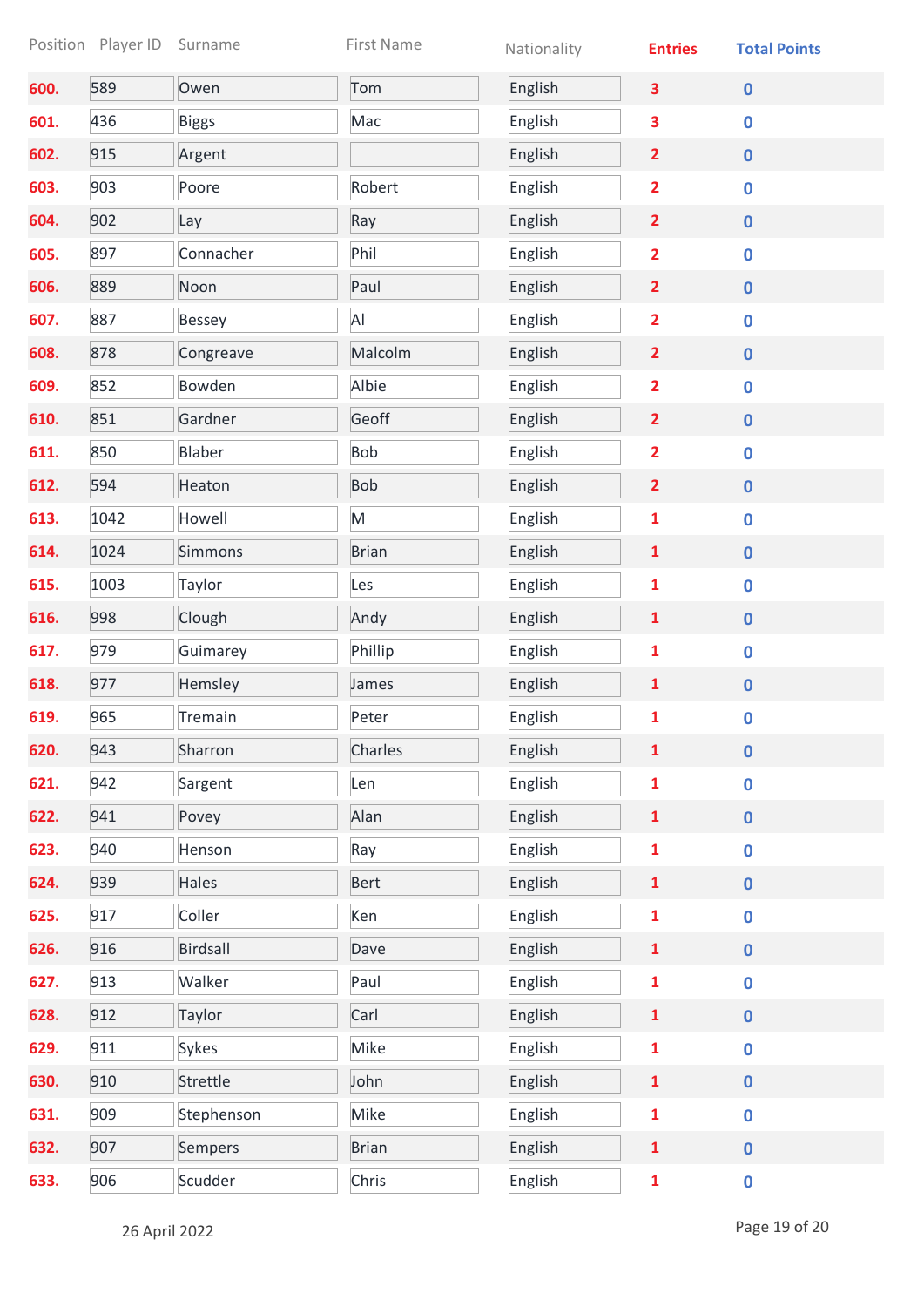|      | Position Player ID | Surname       | First Name   | Nationality | <b>Entries</b>          | <b>Total Points</b> |
|------|--------------------|---------------|--------------|-------------|-------------------------|---------------------|
| 600. | 589                | Owen          | Tom          | English     | $\overline{\mathbf{3}}$ | $\mathbf 0$         |
| 601. | 436                | <b>Biggs</b>  | Mac          | English     | 3                       | $\mathbf 0$         |
| 602. | 915                | Argent        |              | English     | $\overline{2}$          | $\bf{0}$            |
| 603. | 903                | Poore         | Robert       | English     | $\overline{\mathbf{2}}$ | $\mathbf 0$         |
| 604. | 902                | Lay           | Ray          | English     | $\overline{2}$          | $\mathbf 0$         |
| 605. | 897                | Connacher     | Phil         | English     | $\overline{2}$          | $\mathbf 0$         |
| 606. | 889                | Noon          | Paul         | English     | $\overline{2}$          | $\mathbf 0$         |
| 607. | 887                | <b>Bessey</b> | AI           | English     | $\overline{\mathbf{2}}$ | $\mathbf 0$         |
| 608. | 878                | Congreave     | Malcolm      | English     | $\overline{2}$          | $\mathbf 0$         |
| 609. | 852                | Bowden        | Albie        | English     | $\overline{2}$          | $\mathbf 0$         |
| 610. | 851                | Gardner       | Geoff        | English     | $\overline{2}$          | $\mathbf 0$         |
| 611. | 850                | Blaber        | Bob          | English     | $\overline{\mathbf{2}}$ | $\mathbf 0$         |
| 612. | 594                | Heaton        | <b>Bob</b>   | English     | $\overline{2}$          | $\pmb{0}$           |
| 613. | 1042               | Howell        | ${\sf M}$    | English     | $\mathbf{1}$            | $\mathbf 0$         |
| 614. | 1024               | Simmons       | <b>Brian</b> | English     | $\mathbf{1}$            | $\pmb{0}$           |
| 615. | 1003               | Taylor        | Les          | English     | 1                       | $\mathbf 0$         |
| 616. | 998                | Clough        | Andy         | English     | $\mathbf{1}$            | $\pmb{0}$           |
| 617. | 979                | Guimarey      | Phillip      | English     | $\mathbf{1}$            | $\mathbf 0$         |
| 618. | 977                | Hemsley       | James        | English     | $\mathbf{1}$            | $\mathbf 0$         |
| 619. | 965                | Tremain       | Peter        | English     | 1                       | $\mathbf 0$         |
| 620. | 943                | Sharron       | Charles      | English     | $\mathbf{1}$            | $\mathbf 0$         |
| 621. | 942                | Sargent       | Len          | English     | $\mathbf{1}$            | $\mathbf 0$         |
| 622. | 941                | Povey         | Alan         | English     | $\mathbf{1}$            | $\mathbf 0$         |
| 623. | 940                | Henson        | Ray          | English     | $\mathbf{1}$            | $\mathbf 0$         |
| 624. | 939                | Hales         | Bert         | English     | $\mathbf{1}$            | $\mathbf 0$         |
| 625. | 917                | Coller        | Ken          | English     | $\mathbf{1}$            | $\mathbf 0$         |
| 626. | 916                | Birdsall      | Dave         | English     | $\mathbf{1}$            | $\mathbf 0$         |
| 627. | 913                | Walker        | Paul         | English     | $\mathbf{1}$            | $\mathbf 0$         |
| 628. | 912                | Taylor        | Carl         | English     | $\mathbf{1}$            | $\pmb{0}$           |
| 629. | 911                | Sykes         | Mike         | English     | 1                       | $\mathbf 0$         |
| 630. | 910                | Strettle      | John         | English     | $\mathbf{1}$            | $\mathbf 0$         |
| 631. | 909                | Stephenson    | Mike         | English     | $\mathbf{1}$            | $\mathbf 0$         |
| 632. | 907                | Sempers       | <b>Brian</b> | English     | $\mathbf{1}$            | $\pmb{0}$           |
| 633. | 906                | Scudder       | Chris        | English     | $\mathbf{1}$            | $\mathbf 0$         |